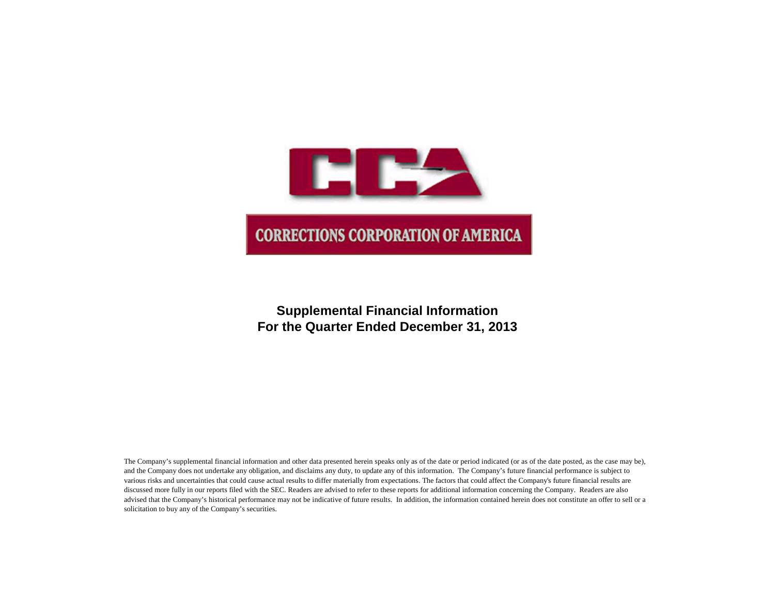

# **Supplemental Financial Information For the Quarter Ended December 31, 2013**

The Company's supplemental financial information and other data presented herein speaks only as of the date or period indicated (or as of the date posted, as the case may be), and the Company does not undertake any obligation, and disclaims any duty, to update any of this information. The Company's future financial performance is subject to various risks and uncertainties that could cause actual results to differ materially from expectations. The factors that could affect the Company's future financial results are discussed more fully in our reports filed with the SEC. Readers are advised to refer to these reports for additional information concerning the Company. Readers are also advised that the Company's historical performance may not be indicative of future results. In addition, the information contained herein does not constitute an offer to sell or a solicitation to buy any of the Company's securities.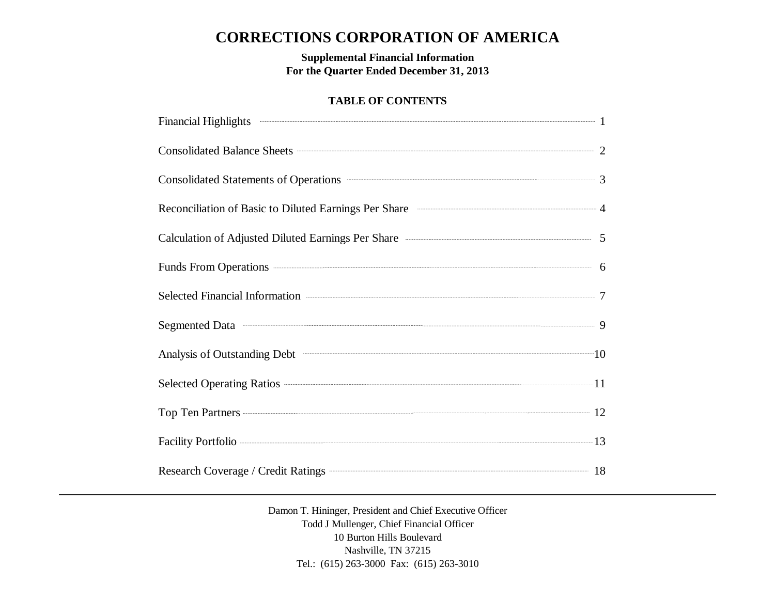# **CORRECTIONS CORPORATION OF AMERICA**

**Supplemental Financial Information For the Quarter Ended December 31, 2013**

# **TABLE OF CONTENTS**

| Financial Highlights 2008 and 2008 and 2008 and 2008 and 2008 and 2008 and 2008 and 2008 and 2008 and 2008 and 2008 and 2008 and 2008 and 2008 and 2008 and 2008 and 2008 and 2008 and 2008 and 2008 and 2008 and 2008 and 200                           |  |
|----------------------------------------------------------------------------------------------------------------------------------------------------------------------------------------------------------------------------------------------------------|--|
| Consolidated Balance Sheets 22                                                                                                                                                                                                                           |  |
| Consolidated Statements of Operations <b>Consolidated Statements</b> of Operations <b>Consolidated Statements</b> of Operations <b>Consolidated Statements</b> of Operations <b>Consolidated Statements</b> of Operations <b>Consolidated Statements</b> |  |
| Reconciliation of Basic to Diluted Earnings Per Share <b>Constanting According to According According According According According According According According According According According According According According Ac</b>                     |  |
| Calculation of Adjusted Diluted Earnings Per Share ——————————————————————————————5                                                                                                                                                                       |  |
| Funds From Operations 6                                                                                                                                                                                                                                  |  |
| Selected Financial Information <b>Construction</b> 7                                                                                                                                                                                                     |  |
| Segmented Data 30 and 30 and 30 and 30 and 30 and 30 and 30 and 30 and 30 and 30 and 30 and 30 and 30 and 30 and 30 and 30 and 30 and 30 and 30 and 30 and 30 and 30 and 30 and 30 and 30 and 30 and 30 and 30 and 30 and 30 a                           |  |
| Analysis of Outstanding Debt <sup>201</sup> 10                                                                                                                                                                                                           |  |
|                                                                                                                                                                                                                                                          |  |
| Top Ten Partners 22                                                                                                                                                                                                                                      |  |
| Facility Portfolio 23                                                                                                                                                                                                                                    |  |
| Research Coverage / Credit Ratings <b>Construction</b> 18                                                                                                                                                                                                |  |

Damon T. Hininger, President and Chief Executive Officer Todd J Mullenger, Chief Financial Officer 10 Burton Hills Boulevard Nashville, TN 37215 Tel.: (615) 263-3000 Fax: (615) 263-3010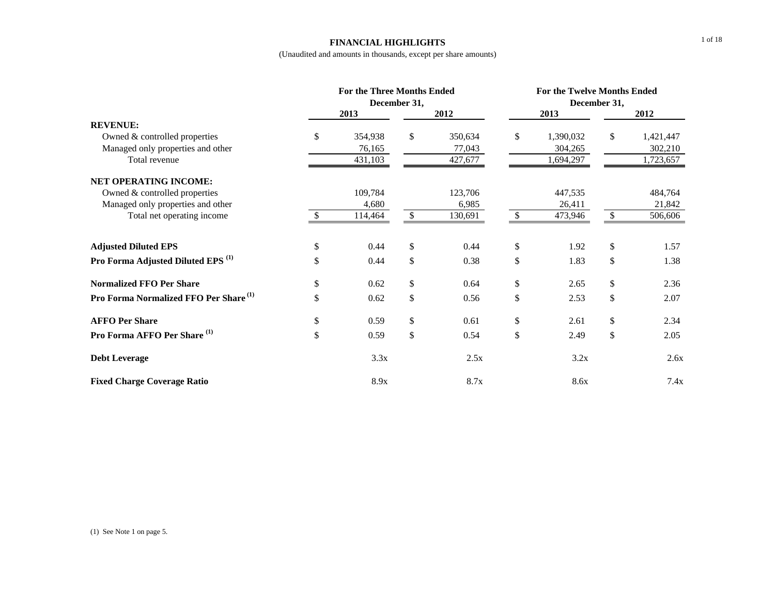#### **FINANCIAL HIGHLIGHTS**

|                                                   |     | <b>For the Three Months Ended</b> |              | For the Twelve Months Ended |              |              |              |           |  |
|---------------------------------------------------|-----|-----------------------------------|--------------|-----------------------------|--------------|--------------|--------------|-----------|--|
|                                                   |     | December 31,                      |              |                             |              | December 31, |              |           |  |
|                                                   |     | 2013                              | 2012         |                             | 2013         |              |              | 2012      |  |
| <b>REVENUE:</b>                                   |     |                                   |              |                             |              |              |              |           |  |
| Owned & controlled properties                     | \$  | 354,938                           | \$           | 350,634                     | \$           | 1,390,032    | $\mathbb{S}$ | 1,421,447 |  |
| Managed only properties and other                 |     | 76,165                            |              | 77,043                      |              | 304,265      |              | 302,210   |  |
| Total revenue                                     |     | 431,103                           |              | 427,677                     |              | 1,694,297    |              | 1,723,657 |  |
| NET OPERATING INCOME:                             |     |                                   |              |                             |              |              |              |           |  |
| Owned & controlled properties                     |     | 109,784                           |              | 123,706                     |              | 447,535      |              | 484,764   |  |
| Managed only properties and other                 |     | 4,680                             |              | 6,985                       |              | 26,411       |              | 21,842    |  |
| Total net operating income                        | \$. | 114,464                           | $\mathbb{S}$ | 130,691                     | $\mathbb{S}$ | 473,946      | $\mathbb{S}$ | 506,606   |  |
| <b>Adjusted Diluted EPS</b>                       | \$  | 0.44                              | \$           | 0.44                        | \$           | 1.92         | \$           | 1.57      |  |
| Pro Forma Adjusted Diluted EPS <sup>(1)</sup>     | \$  | 0.44                              | \$           | 0.38                        | \$           | 1.83         | \$           | 1.38      |  |
| <b>Normalized FFO Per Share</b>                   | \$  | 0.62                              | \$           | 0.64                        | \$           | 2.65         | \$           | 2.36      |  |
| Pro Forma Normalized FFO Per Share <sup>(1)</sup> | \$  | 0.62                              | \$           | 0.56                        | \$           | 2.53         | \$           | 2.07      |  |
| <b>AFFO Per Share</b>                             | \$  | 0.59                              | \$           | 0.61                        | \$           | 2.61         | \$           | 2.34      |  |
| Pro Forma AFFO Per Share <sup>(1)</sup>           | \$  | 0.59                              | \$           | 0.54                        | \$           | 2.49         | \$           | 2.05      |  |
| <b>Debt Leverage</b>                              |     | 3.3x                              |              | 2.5x                        |              | 3.2x         |              | 2.6x      |  |
| <b>Fixed Charge Coverage Ratio</b>                |     | 8.9x                              |              | 8.7x                        |              | 8.6x         |              | 7.4x      |  |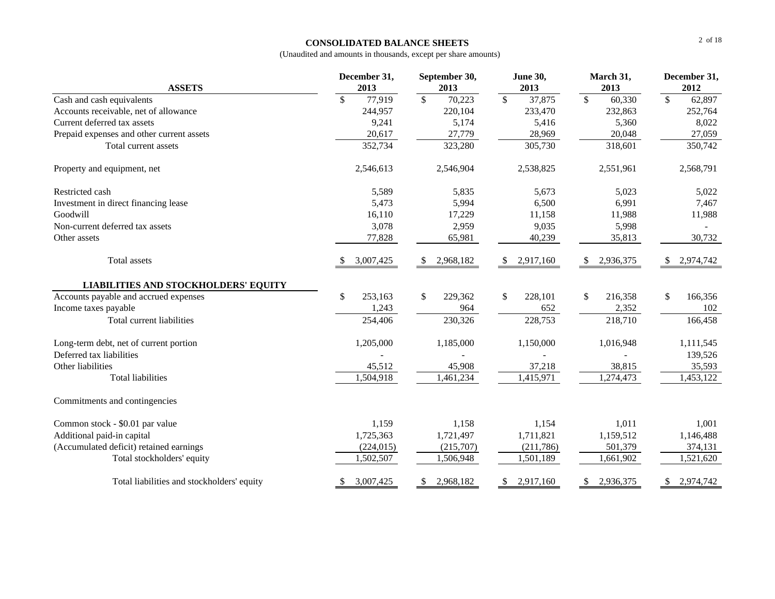#### **CONSOLIDATED BALANCE SHEETS**

| <b>ASSETS</b>                               | December 31,<br>2013 | September 30,<br>2013              | <b>June 30,</b><br>2013 | March 31,<br>2013                  | December 31,<br>2012 |
|---------------------------------------------|----------------------|------------------------------------|-------------------------|------------------------------------|----------------------|
| Cash and cash equivalents                   | \$<br>77,919         | $\overline{\mathcal{S}}$<br>70,223 | $\sqrt{S}$<br>37,875    | $\overline{\mathcal{S}}$<br>60,330 | $\sqrt{S}$<br>62,897 |
| Accounts receivable, net of allowance       | 244,957              | 220,104                            | 233,470                 | 232,863                            | 252,764              |
| Current deferred tax assets                 | 9,241                | 5,174                              | 5,416                   | 5,360                              | 8,022                |
| Prepaid expenses and other current assets   | 20,617               | 27,779                             | 28,969                  | 20,048                             | 27,059               |
| Total current assets                        | 352,734              | 323,280                            | 305,730                 | 318,601                            | 350,742              |
| Property and equipment, net                 | 2,546,613            | 2,546,904                          | 2,538,825               | 2,551,961                          | 2,568,791            |
| Restricted cash                             | 5,589                | 5,835                              | 5,673                   | 5,023                              | 5,022                |
| Investment in direct financing lease        | 5,473                | 5,994                              | 6,500                   | 6,991                              | 7,467                |
| Goodwill                                    | 16,110               | 17,229                             | 11,158                  | 11,988                             | 11,988               |
| Non-current deferred tax assets             | 3,078                | 2,959                              | 9,035                   | 5,998                              |                      |
| Other assets                                | 77,828               | 65,981                             | 40,239                  | 35,813                             | 30,732               |
| Total assets                                | 3,007,425            | 2,968,182<br>\$                    | 2,917,160<br>\$         | 2,936,375                          | 2,974,742<br>\$      |
| <b>LIABILITIES AND STOCKHOLDERS' EQUITY</b> |                      |                                    |                         |                                    |                      |
| Accounts payable and accrued expenses       | \$<br>253,163        | $\mathbb{S}$<br>229,362            | 228,101<br>$\mathbb{S}$ | \$<br>216,358                      | \$<br>166,356        |
| Income taxes payable                        | 1,243                | 964                                | 652                     | 2,352                              | 102                  |
| Total current liabilities                   | 254,406              | 230,326                            | 228,753                 | 218,710                            | 166,458              |
| Long-term debt, net of current portion      | 1,205,000            | 1,185,000                          | 1,150,000               | 1,016,948                          | 1,111,545            |
| Deferred tax liabilities                    |                      |                                    |                         |                                    | 139,526              |
| Other liabilities                           | 45,512               | 45,908                             | 37,218                  | 38,815                             | 35,593               |
| <b>Total liabilities</b>                    | 1,504,918            | 1,461,234                          | 1,415,971               | 1,274,473                          | 1,453,122            |
| Commitments and contingencies               |                      |                                    |                         |                                    |                      |
| Common stock - \$0.01 par value             | 1,159                | 1,158                              | 1,154                   | 1,011                              | 1,001                |
| Additional paid-in capital                  | 1,725,363            | 1,721,497                          | 1,711,821               | 1,159,512                          | 1,146,488            |
| (Accumulated deficit) retained earnings     | (224, 015)           | (215,707)                          | (211,786)               | 501,379                            | 374,131              |
| Total stockholders' equity                  | 1,502,507            | 1,506,948                          | 1,501,189               | 1,661,902                          | 1,521,620            |
| Total liabilities and stockholders' equity  | 3,007,425<br>\$      | 2,968,182<br>\$                    | 2,917,160<br>\$         | 2,936,375<br>\$                    | 2,974,742<br>S.      |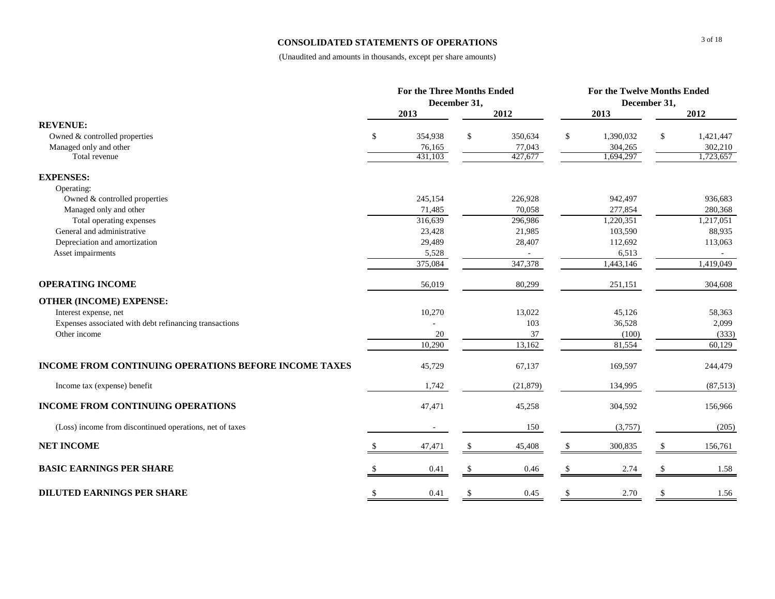#### **CONSOLIDATED STATEMENTS OF OPERATIONS**

|                                                              | <b>For the Three Months Ended</b> |                   |              | <b>For the Twelve Months Ended</b> |               |                      |               |                      |
|--------------------------------------------------------------|-----------------------------------|-------------------|--------------|------------------------------------|---------------|----------------------|---------------|----------------------|
|                                                              |                                   |                   | December 31, |                                    |               |                      | December 31,  |                      |
|                                                              |                                   | 2013              |              | 2012                               |               | 2013                 |               | 2012                 |
| <b>REVENUE:</b>                                              |                                   |                   |              |                                    |               |                      |               |                      |
| Owned & controlled properties                                | \$                                | 354,938           | \$           | 350,634                            | \$            | 1,390,032            | <sup>\$</sup> | 1,421,447            |
| Managed only and other<br>Total revenue                      |                                   | 76,165<br>431,103 |              | 77,043<br>427,677                  |               | 304,265<br>1,694,297 |               | 302,210<br>1,723,657 |
|                                                              |                                   |                   |              |                                    |               |                      |               |                      |
| <b>EXPENSES:</b>                                             |                                   |                   |              |                                    |               |                      |               |                      |
| Operating:                                                   |                                   |                   |              |                                    |               |                      |               |                      |
| Owned & controlled properties                                |                                   | 245,154           |              | 226,928                            |               | 942,497              |               | 936,683              |
| Managed only and other                                       |                                   | 71,485            |              | 70,058                             |               | 277,854              |               | 280,368              |
| Total operating expenses                                     |                                   | 316,639           |              | 296,986                            |               | 1,220,351            |               | 1,217,051            |
| General and administrative                                   |                                   | 23,428            |              | 21,985                             |               | 103,590              |               | 88,935               |
| Depreciation and amortization                                |                                   | 29,489            |              | 28,407                             |               | 112,692              |               | 113,063              |
| Asset impairments                                            |                                   | 5,528             |              | 347,378                            |               | 6,513                |               |                      |
|                                                              |                                   | 375,084           |              |                                    |               | 1,443,146            |               | 1,419,049            |
| <b>OPERATING INCOME</b>                                      |                                   | 56,019            |              | 80,299                             |               | 251,151              |               | 304,608              |
| <b>OTHER (INCOME) EXPENSE:</b>                               |                                   |                   |              |                                    |               |                      |               |                      |
| Interest expense, net                                        |                                   | 10,270            |              | 13,022                             |               | 45,126               |               | 58,363               |
| Expenses associated with debt refinancing transactions       |                                   |                   |              | 103                                |               | 36,528               |               | 2,099                |
| Other income                                                 |                                   | 20                |              | 37                                 |               | (100)                |               | (333)                |
|                                                              |                                   | 10,290            |              | 13,162                             |               | 81,554               |               | 60,129               |
| <b>INCOME FROM CONTINUING OPERATIONS BEFORE INCOME TAXES</b> |                                   | 45,729            |              | 67,137                             |               | 169,597              |               | 244,479              |
| Income tax (expense) benefit                                 |                                   | 1,742             |              | (21, 879)                          |               | 134,995              |               | (87, 513)            |
| <b>INCOME FROM CONTINUING OPERATIONS</b>                     |                                   | 47,471            |              | 45,258                             |               | 304,592              |               | 156,966              |
| (Loss) income from discontinued operations, net of taxes     |                                   |                   |              | 150                                |               | (3,757)              |               | (205)                |
| <b>NET INCOME</b>                                            |                                   | 47,471            | \$           | 45,408                             | \$            | 300,835              |               | 156,761              |
| <b>BASIC EARNINGS PER SHARE</b>                              |                                   | 0.41              |              | 0.46                               |               | 2.74                 |               | 1.58                 |
| <b>DILUTED EARNINGS PER SHARE</b>                            | <sup>\$</sup>                     | 0.41              | \$           | 0.45                               | <sup>\$</sup> | 2.70                 | <sup>\$</sup> | 1.56                 |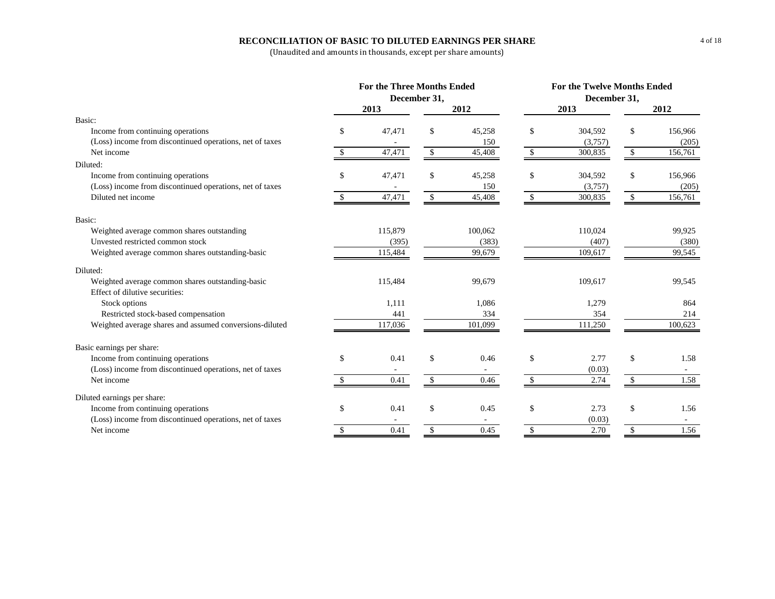### **RECONCILIATION OF BASIC TO DILUTED EARNINGS PER SHARE**

|                                                          |              | For the Three Months Ended |              | <b>For the Twelve Months Ended</b> |    |         |              |         |
|----------------------------------------------------------|--------------|----------------------------|--------------|------------------------------------|----|---------|--------------|---------|
|                                                          | December 31, |                            |              | December 31,                       |    |         |              |         |
|                                                          |              | 2013                       |              | 2012                               |    | 2013    |              | 2012    |
| Basic:                                                   |              |                            |              |                                    |    |         |              |         |
| Income from continuing operations                        | \$           | 47,471                     | \$           | 45,258                             | \$ | 304,592 | \$           | 156,966 |
| (Loss) income from discontinued operations, net of taxes |              |                            |              | 150                                |    | (3,757) |              | (205)   |
| Net income                                               | \$           | 47,471                     | \$           | 45,408                             | \$ | 300,835 | \$           | 156,761 |
| Diluted:                                                 |              |                            |              |                                    |    |         |              |         |
| Income from continuing operations                        | \$           | 47,471                     | \$           | 45,258                             | \$ | 304,592 | \$           | 156,966 |
| (Loss) income from discontinued operations, net of taxes |              |                            |              | 150                                |    | (3,757) |              | (205)   |
| Diluted net income                                       | \$           | 47,471                     | $\sqrt{3}$   | 45,408                             | \$ | 300,835 | \$           | 156,761 |
| Basic:                                                   |              |                            |              |                                    |    |         |              |         |
| Weighted average common shares outstanding               |              | 115,879                    |              | 100,062                            |    | 110,024 |              | 99,925  |
| Unvested restricted common stock                         |              | (395)                      |              | (383)                              |    | (407)   |              | (380)   |
| Weighted average common shares outstanding-basic         |              | 115,484                    |              | 99,679                             |    | 109,617 |              | 99,545  |
| Diluted:                                                 |              |                            |              |                                    |    |         |              |         |
| Weighted average common shares outstanding-basic         |              | 115,484                    |              | 99,679                             |    | 109,617 |              | 99,545  |
| Effect of dilutive securities:                           |              |                            |              |                                    |    |         |              |         |
| Stock options                                            |              | 1,111                      |              | 1,086                              |    | 1,279   |              | 864     |
| Restricted stock-based compensation                      |              | 441                        |              | 334                                |    | 354     |              | 214     |
| Weighted average shares and assumed conversions-diluted  |              | 117,036                    |              | 101,099                            |    | 111,250 |              | 100,623 |
| Basic earnings per share:                                |              |                            |              |                                    |    |         |              |         |
| Income from continuing operations                        | \$           | 0.41                       | \$           | 0.46                               | \$ | 2.77    | \$           | 1.58    |
| (Loss) income from discontinued operations, net of taxes |              |                            |              |                                    |    | (0.03)  |              |         |
| Net income                                               | \$.          | 0.41                       | \$           | 0.46                               | \$ | 2.74    | \$           | 1.58    |
| Diluted earnings per share:                              |              |                            |              |                                    |    |         |              |         |
| Income from continuing operations                        | \$.          | 0.41                       | \$           | 0.45                               | \$ | 2.73    | \$           | 1.56    |
| (Loss) income from discontinued operations, net of taxes |              |                            |              |                                    |    | (0.03)  |              | $\sim$  |
| Net income                                               | \$           | 0.41                       | $\mathbf{s}$ | 0.45                               | \$ | 2.70    | $\mathbb{S}$ | 1.56    |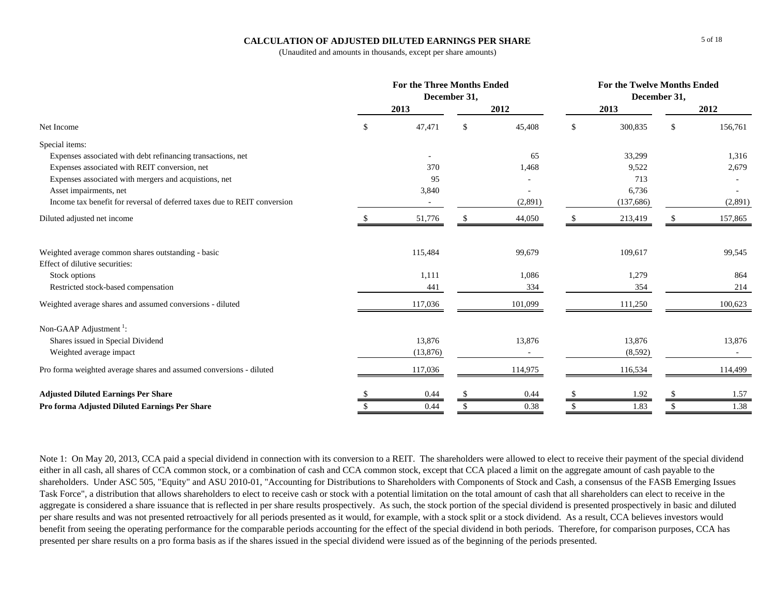### **CALCULATION OF ADJUSTED DILUTED EARNINGS PER SHARE**

(Unaudited and amounts in thousands, except per share amounts)

|                                                                          |     | <b>For the Three Months Ended</b> | December 31, |         | For the Twelve Months Ended<br>December 31, |           |     |         |
|--------------------------------------------------------------------------|-----|-----------------------------------|--------------|---------|---------------------------------------------|-----------|-----|---------|
|                                                                          |     | 2013                              |              | 2012    |                                             | 2013      |     | 2012    |
| Net Income                                                               | \$. | 47,471                            | \$.          | 45,408  | \$                                          | 300,835   | -\$ | 156,761 |
| Special items:                                                           |     |                                   |              |         |                                             |           |     |         |
| Expenses associated with debt refinancing transactions, net              |     |                                   |              | 65      |                                             | 33,299    |     | 1,316   |
| Expenses associated with REIT conversion, net                            |     | 370                               |              | 1,468   |                                             | 9,522     |     | 2,679   |
| Expenses associated with mergers and acquistions, net                    |     | 95                                |              |         |                                             | 713       |     |         |
| Asset impairments, net                                                   |     | 3,840                             |              |         |                                             | 6,736     |     |         |
| Income tax benefit for reversal of deferred taxes due to REIT conversion |     | $\overline{\phantom{a}}$          |              | (2,891) |                                             | (137,686) |     | (2,891) |
| Diluted adjusted net income                                              |     | 51,776                            |              | 44,050  |                                             | 213,419   |     | 157,865 |
| Weighted average common shares outstanding - basic                       |     | 115,484                           |              | 99,679  |                                             | 109,617   |     | 99,545  |
| Effect of dilutive securities:                                           |     |                                   |              |         |                                             |           |     |         |
| Stock options                                                            |     | 1,111                             |              | 1,086   |                                             | 1,279     |     | 864     |
| Restricted stock-based compensation                                      |     | 441                               |              | 334     |                                             | 354       |     | 214     |
| Weighted average shares and assumed conversions - diluted                |     | 117,036                           |              | 101,099 |                                             | 111,250   |     | 100,623 |
| Non-GAAP Adjustment <sup>1</sup> :                                       |     |                                   |              |         |                                             |           |     |         |
| Shares issued in Special Dividend                                        |     | 13,876                            |              | 13,876  |                                             | 13,876    |     | 13,876  |
| Weighted average impact                                                  |     | (13, 876)                         |              |         |                                             | (8,592)   |     |         |
| Pro forma weighted average shares and assumed conversions - diluted      |     | 117,036                           |              | 114,975 |                                             | 116,534   |     | 114,499 |
| <b>Adjusted Diluted Earnings Per Share</b>                               |     | 0.44                              |              | 0.44    | <sup>\$</sup>                               | 1.92      |     | 1.57    |
| Pro forma Adjusted Diluted Earnings Per Share                            |     | 0.44                              |              | 0.38    | <sup>\$</sup>                               | 1.83      |     | 1.38    |

Note 1: On May 20, 2013, CCA paid a special dividend in connection with its conversion to a REIT. The shareholders were allowed to elect to receive their payment of the special dividend either in all cash, all shares of CCA common stock, or a combination of cash and CCA common stock, except that CCA placed a limit on the aggregate amount of cash payable to the shareholders. Under ASC 505, "Equity" and ASU 2010-01, "Accounting for Distributions to Shareholders with Components of Stock and Cash, a consensus of the FASB Emerging Issues Task Force", a distribution that allows shareholders to elect to receive cash or stock with a potential limitation on the total amount of cash that all shareholders can elect to receive in the aggregate is considered a share issuance that is reflected in per share results prospectively. As such, the stock portion of the special dividend is presented prospectively in basic and diluted per share results and was not presented retroactively for all periods presented as it would, for example, with a stock split or a stock dividend. As a result, CCA believes investors would benefit from seeing the operating performance for the comparable periods accounting for the effect of the special dividend in both periods. Therefore, for comparison purposes, CCA has presented per share results on a pro forma basis as if the shares issued in the special dividend were issued as of the beginning of the periods presented.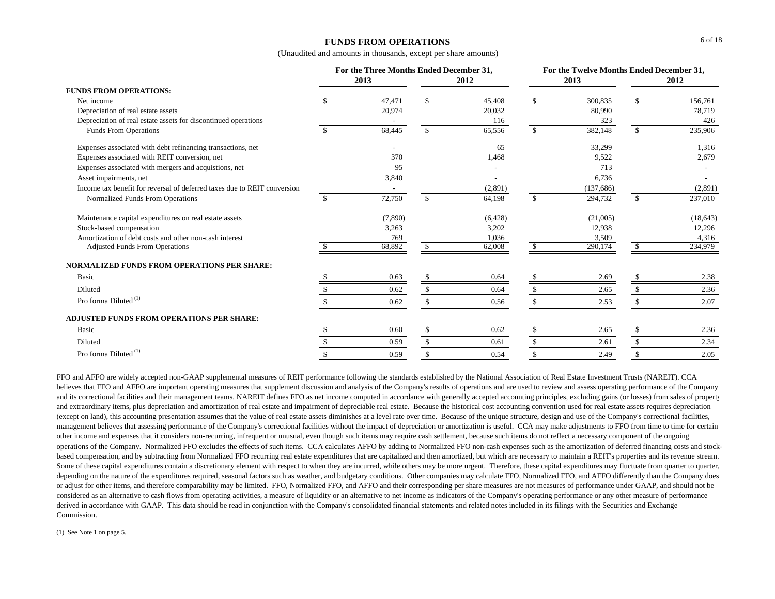### **FUNDS FROM OPERATIONS**

(Unaudited and amounts in thousands, except per share amounts)

|                                                                          | For the Three Months Ended December 31, |         |               |         |              |            | For the Twelve Months Ended December 31, |           |
|--------------------------------------------------------------------------|-----------------------------------------|---------|---------------|---------|--------------|------------|------------------------------------------|-----------|
|                                                                          |                                         | 2013    |               | 2012    |              | 2013       |                                          | 2012      |
| <b>FUNDS FROM OPERATIONS:</b>                                            |                                         |         |               |         |              |            |                                          |           |
| Net income                                                               | £.                                      | 47,471  | $\mathbb{S}$  | 45,408  | $\mathbb{S}$ | 300,835    | \$                                       | 156,761   |
| Depreciation of real estate assets                                       |                                         | 20,974  |               | 20,032  |              | 80,990     |                                          | 78,719    |
| Depreciation of real estate assets for discontinued operations           |                                         |         |               | 116     |              | 323        |                                          | 426       |
| <b>Funds From Operations</b>                                             | -S                                      | 68,445  | $\mathbb{S}$  | 65,556  | $\mathbb{S}$ | 382,148    | $\mathbb{S}$                             | 235,906   |
| Expenses associated with debt refinancing transactions, net              |                                         |         |               | 65      |              | 33,299     |                                          | 1,316     |
| Expenses associated with REIT conversion, net                            |                                         | 370     |               | 1,468   |              | 9,522      |                                          | 2,679     |
| Expenses associated with mergers and acquistions, net                    |                                         | 95      |               |         |              | 713        |                                          |           |
| Asset impairments, net                                                   |                                         | 3,840   |               |         |              | 6,736      |                                          |           |
| Income tax benefit for reversal of deferred taxes due to REIT conversion |                                         |         |               | (2,891) |              | (137, 686) |                                          | (2,891)   |
| Normalized Funds From Operations                                         | <sup>\$</sup>                           | 72,750  | $\mathcal{S}$ | 64,198  | $\mathbb{S}$ | 294,732    | $\mathcal{S}$                            | 237,010   |
| Maintenance capital expenditures on real estate assets                   |                                         | (7,890) |               | (6,428) |              | (21,005)   |                                          | (18, 643) |
| Stock-based compensation                                                 |                                         | 3,263   |               | 3,202   |              | 12,938     |                                          | 12,296    |
| Amortization of debt costs and other non-cash interest                   |                                         | 769     |               | 1,036   |              | 3,509      |                                          | 4,316     |
| <b>Adjusted Funds From Operations</b>                                    |                                         | 68,892  | \$            | 62,008  | S.           | 290,174    | \$                                       | 234,979   |
| <b>NORMALIZED FUNDS FROM OPERATIONS PER SHARE:</b>                       |                                         |         |               |         |              |            |                                          |           |
| Basic                                                                    |                                         | 0.63    |               | 0.64    |              | 2.69       |                                          | 2.38      |
| Diluted                                                                  |                                         | 0.62    |               | 0.64    |              | 2.65       |                                          | 2.36      |
| Pro forma Diluted <sup>(1)</sup>                                         |                                         | 0.62    |               | 0.56    |              | 2.53       |                                          | 2.07      |
| ADJUSTED FUNDS FROM OPERATIONS PER SHARE:                                |                                         |         |               |         |              |            |                                          |           |
| Basic                                                                    |                                         | 0.60    |               | 0.62    |              | 2.65       |                                          | 2.36      |
| Diluted                                                                  |                                         | 0.59    |               | 0.61    |              | 2.61       |                                          | 2.34      |
| Pro forma Diluted <sup>(1)</sup>                                         |                                         | 0.59    |               | 0.54    |              | 2.49       |                                          | 2.05      |

FFO and AFFO are widely accepted non-GAAP supplemental measures of REIT performance following the standards established by the National Association of Real Estate Investment Trusts (NAREIT). CCA believes that FFO and AFFO are important operating measures that supplement discussion and analysis of the Company's results of operations and are used to review and assess operating performance of the Company and its correctional facilities and their management teams. NAREIT defines FFO as net income computed in accordance with generally accepted accounting principles, excluding gains (or losses) from sales of property and extraordinary items, plus depreciation and amortization of real estate and impairment of depreciable real estate. Because the historical cost accounting convention used for real estate assets requires depreciation (except on land), this accounting presentation assumes that the value of real estate assets diminishes at a level rate over time. Because of the unique structure, design and use of the Company's correctional facilities, management believes that assessing performance of the Company's correctional facilities without the impact of depreciation or amortization is useful. CCA may make adjustments to FFO from time to time for certain other income and expenses that it considers non-recurring, infrequent or unusual, even though such items may require cash settlement, because such items do not reflect a necessary component of the ongoing operations of the Company. Normalized FFO excludes the effects of such items. CCA calculates AFFO by adding to Normalized FFO non-cash expenses such as the amortization of deferred financing costs and stockbased compensation, and by subtracting from Normalized FFO recurring real estate expenditures that are capitalized and then amortized, but which are necessary to maintain a REIT's properties and its revenue stream. Some of these capital expenditures contain a discretionary element with respect to when they are incurred, while others may be more urgent. Therefore, these capital expenditures may fluctuate from quarter to quarter, depending on the nature of the expenditures required, seasonal factors such as weather, and budgetary conditions. Other companies may calculate FFO, Normalized FFO, and AFFO differently than the Company does or adjust for other items, and therefore comparability may be limited. FFO, Normalized FFO, and AFFO and their corresponding per share measures are not measures of performance under GAAP, and should not be considered as an alternative to cash flows from operating activities, a measure of liquidity or an alternative to net income as indicators of the Company's operating performance or any other measure of performance derived in accordance with GAAP. This data should be read in conjunction with the Company's consolidated financial statements and related notes included in its filings with the Securities and Exchange Commission.

(1) See Note 1 on page 5.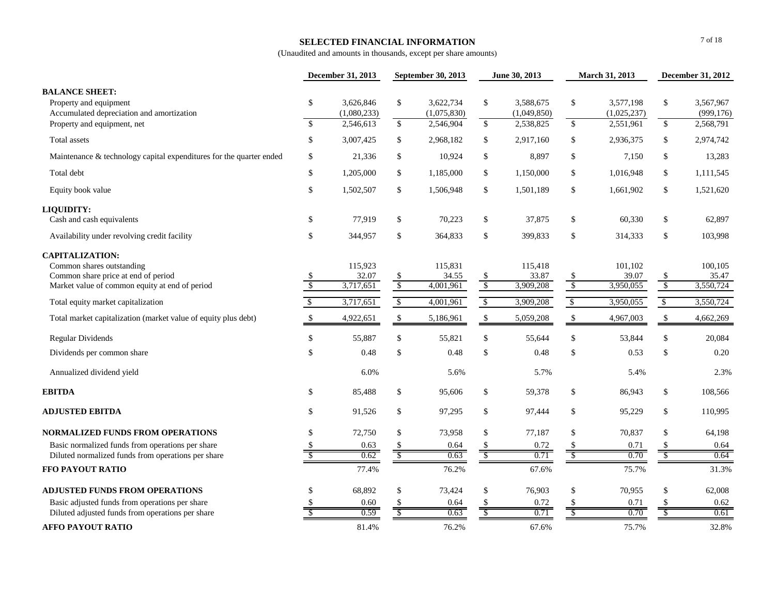#### **SELECTED FINANCIAL INFORMATION**

|                                                                                                                                              |                          | December 31, 2013                     | September 30, 2013       |                                       | June 30, 2013             |                                       | March 31, 2013           |                                       | December 31, 2012             |                                      |
|----------------------------------------------------------------------------------------------------------------------------------------------|--------------------------|---------------------------------------|--------------------------|---------------------------------------|---------------------------|---------------------------------------|--------------------------|---------------------------------------|-------------------------------|--------------------------------------|
| <b>BALANCE SHEET:</b><br>Property and equipment<br>Accumulated depreciation and amortization<br>Property and equipment, net                  | \$<br>$\mathbf{\hat{S}}$ | 3.626.846<br>(1,080,233)<br>2,546,613 | \$<br>$\frac{1}{2}$      | 3,622,734<br>(1,075,830)<br>2,546,904 | \$<br>$\sqrt[6]{}$        | 3.588.675<br>(1,049,850)<br>2,538,825 | \$<br>$\mathcal{S}$      | 3.577.198<br>(1,025,237)<br>2,551,961 | \$<br>\$                      | 3,567,967<br>(999, 176)<br>2,568,791 |
| Total assets                                                                                                                                 | \$                       | 3,007,425                             | \$                       | 2,968,182                             | \$                        | 2,917,160                             | \$                       | 2,936,375                             | \$                            | 2,974,742                            |
| Maintenance & technology capital expenditures for the quarter ended                                                                          | \$                       |                                       | \$                       | 10,924                                | \$                        |                                       | \$                       |                                       | \$                            |                                      |
|                                                                                                                                              |                          | 21,336                                |                          |                                       |                           | 8,897                                 |                          | 7,150                                 |                               | 13,283                               |
| Total debt                                                                                                                                   | \$                       | 1,205,000                             | \$                       | 1,185,000                             | \$                        | 1,150,000                             | \$                       | 1,016,948                             | \$                            | 1,111,545                            |
| Equity book value                                                                                                                            | \$                       | 1,502,507                             | \$                       | 1,506,948                             | \$                        | 1,501,189                             | \$                       | 1,661,902                             | \$                            | 1,521,620                            |
| LIQUIDITY:<br>Cash and cash equivalents                                                                                                      | \$                       | 77,919                                | \$                       | 70,223                                | \$                        | 37,875                                | \$                       | 60,330                                | \$                            | 62,897                               |
| Availability under revolving credit facility                                                                                                 | \$                       | 344,957                               | \$                       | 364,833                               | \$                        | 399,833                               | \$                       | 314,333                               | \$                            | 103,998                              |
| <b>CAPITALIZATION:</b><br>Common shares outstanding<br>Common share price at end of period<br>Market value of common equity at end of period | \$.<br>$\sqrt{2}$        | 115,923<br>32.07<br>3,717,651         | \$<br>$\sqrt$            | 115,831<br>34.55<br>4,001,961         | $\frac{\$}{\$}$           | 115,418<br>33.87<br>3,909,208         | $\mathcal{S}$<br>$\sqrt$ | 101,102<br>39.07<br>3,950,055         | \$<br>$\sqrt[6]{\frac{1}{2}}$ | 100,105<br>35.47<br>3,550,724        |
| Total equity market capitalization                                                                                                           | $\sqrt{5}$               | 3,717,651                             | $\sqrt[6]{\frac{1}{2}}$  | 4,001,961                             | $\sqrt[6]{\frac{1}{2}}$   | 3,909,208                             | $\sqrt[6]{\frac{1}{2}}$  | 3,950,055                             | $\sqrt[6]{\frac{1}{2}}$       | 3,550,724                            |
| Total market capitalization (market value of equity plus debt)                                                                               | \$                       | 4,922,651                             | \$                       | 5,186,961                             | $\boldsymbol{\mathsf{S}}$ | 5,059,208                             | \$                       | 4,967,003                             | \$                            | 4,662,269                            |
| <b>Regular Dividends</b>                                                                                                                     | \$                       | 55,887                                | \$                       | 55,821                                | \$                        | 55,644                                | \$                       | 53,844                                | \$                            | 20,084                               |
| Dividends per common share                                                                                                                   | \$                       | 0.48                                  | \$                       | 0.48                                  | \$                        | 0.48                                  | \$                       | 0.53                                  | \$                            | 0.20                                 |
| Annualized dividend yield                                                                                                                    |                          | 6.0%                                  |                          | 5.6%                                  |                           | 5.7%                                  |                          | 5.4%                                  |                               | 2.3%                                 |
| <b>EBITDA</b>                                                                                                                                | \$                       | 85,488                                | $\mathbb{S}$             | 95,606                                | \$                        | 59,378                                | \$                       | 86,943                                | $\$$                          | 108,566                              |
| <b>ADJUSTED EBITDA</b>                                                                                                                       | \$                       | 91,526                                | \$                       | 97,295                                | \$                        | 97,444                                | \$                       | 95,229                                | $\$$                          | 110,995                              |
| <b>NORMALIZED FUNDS FROM OPERATIONS</b>                                                                                                      | \$                       | 72,750                                | \$                       | 73,958                                | \$                        | 77,187                                | \$                       | 70,837                                | $\$$                          | 64,198                               |
| Basic normalized funds from operations per share                                                                                             | \$                       | 0.63                                  | \$                       | 0.64                                  | $\mathcal{S}$             | 0.72                                  | $\mathsf{\$}$            | 0.71                                  | \$                            | 0.64                                 |
| Diluted normalized funds from operations per share                                                                                           | $\overline{\mathcal{S}}$ | 0.62                                  | $\overline{\mathcal{S}}$ | 0.63                                  | $\overline{\mathcal{S}}$  | 0.71                                  | $\overline{\mathcal{E}}$ | 0.70                                  | $\overline{\mathcal{S}}$      | 0.64                                 |
| FFO PAYOUT RATIO                                                                                                                             |                          | 77.4%                                 |                          | 76.2%                                 |                           | 67.6%                                 |                          | 75.7%                                 |                               | 31.3%                                |
| <b>ADJUSTED FUNDS FROM OPERATIONS</b>                                                                                                        | \$                       | 68,892                                | $\mathbb{S}$             | 73,424                                | \$                        | 76,903                                | \$                       | 70,955                                | $\$$                          | 62,008                               |
| Basic adjusted funds from operations per share                                                                                               |                          | 0.60                                  |                          | 0.64                                  | \$                        | 0.72                                  | S                        | 0.71                                  | \$                            | 0.62                                 |
| Diluted adjusted funds from operations per share                                                                                             |                          | 0.59                                  | S                        | 0.63                                  | $\overline{\mathcal{S}}$  | 0.71                                  | $\sqrt{S}$               | 0.70                                  | $\overline{\mathcal{S}}$      | 0.61                                 |
| <b>AFFO PAYOUT RATIO</b>                                                                                                                     |                          | 81.4%                                 |                          | 76.2%                                 |                           | 67.6%                                 |                          | 75.7%                                 |                               | 32.8%                                |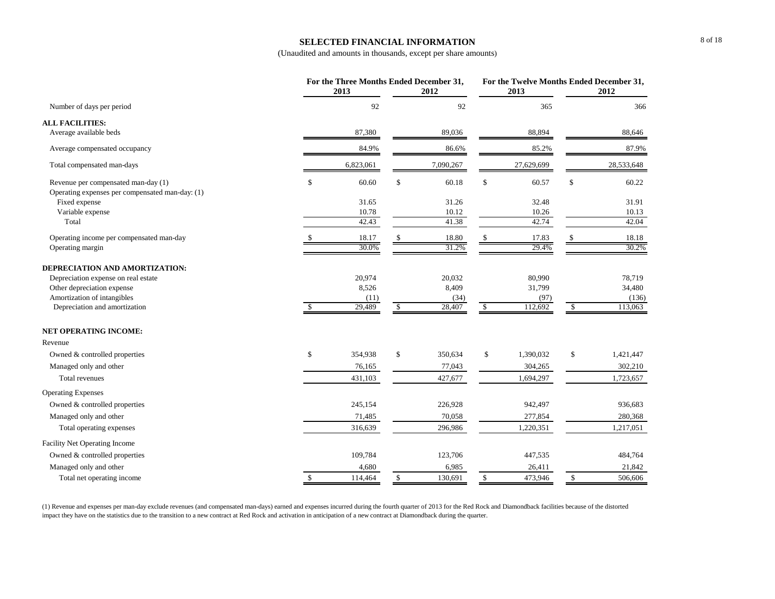#### **SELECTED FINANCIAL INFORMATION**

(Unaudited and amounts in thousands, except per share amounts)

|                                                                                        |              | For the Three Months Ended December 31,<br>2013 | 2012          |              | For the Twelve Months Ended December 31,<br>2013 |    | 2012       |
|----------------------------------------------------------------------------------------|--------------|-------------------------------------------------|---------------|--------------|--------------------------------------------------|----|------------|
| Number of days per period                                                              |              | 92                                              | 92            |              | 365                                              |    | 366        |
| <b>ALL FACILITIES:</b>                                                                 |              |                                                 |               |              |                                                  |    |            |
| Average available beds                                                                 |              | 87,380                                          | 89,036        |              | 88,894                                           |    | 88,646     |
| Average compensated occupancy                                                          |              | 84.9%                                           | 86.6%         |              | 85.2%                                            |    | 87.9%      |
| Total compensated man-days                                                             |              | 6,823,061                                       | 7,090,267     |              | 27,629,699                                       |    | 28,533,648 |
| Revenue per compensated man-day (1)<br>Operating expenses per compensated man-day: (1) | \$           | 60.60                                           | \$<br>60.18   | \$           | 60.57                                            | \$ | 60.22      |
| Fixed expense                                                                          |              | 31.65                                           | 31.26         |              | 32.48                                            |    | 31.91      |
| Variable expense                                                                       |              | 10.78                                           | 10.12         |              | 10.26                                            |    | 10.13      |
| Total                                                                                  |              | 42.43                                           | 41.38         |              | 42.74                                            |    | 42.04      |
| Operating income per compensated man-day                                               |              | 18.17                                           | 18.80         |              | 17.83                                            |    | 18.18      |
| Operating margin                                                                       |              | 30.0%                                           | 31.2%         |              | 29.4%                                            |    | 30.2%      |
| DEPRECIATION AND AMORTIZATION:                                                         |              |                                                 |               |              |                                                  |    |            |
| Depreciation expense on real estate                                                    |              | 20,974                                          | 20,032        |              | 80,990                                           |    | 78,719     |
| Other depreciation expense                                                             |              | 8,526                                           | 8,409         |              | 31,799                                           |    | 34,480     |
| Amortization of intangibles                                                            |              | (11)                                            | (34)          |              | (97)                                             |    | (136)      |
| Depreciation and amortization                                                          | $\mathbb{S}$ | 29,489                                          | \$<br>28,407  | $\mathbb{S}$ | 112,692                                          | -S | 113,063    |
| <b>NET OPERATING INCOME:</b>                                                           |              |                                                 |               |              |                                                  |    |            |
| Revenue                                                                                |              |                                                 |               |              |                                                  |    |            |
| Owned & controlled properties                                                          | \$           | 354,938                                         | \$<br>350,634 | \$           | 1,390,032                                        | \$ | 1,421,447  |
| Managed only and other                                                                 |              | 76,165                                          | 77,043        |              | 304,265                                          |    | 302,210    |
| Total revenues                                                                         |              | 431,103                                         | 427,677       |              | 1,694,297                                        |    | 1,723,657  |
| <b>Operating Expenses</b>                                                              |              |                                                 |               |              |                                                  |    |            |
| Owned & controlled properties                                                          |              | 245,154                                         | 226,928       |              | 942,497                                          |    | 936,683    |
| Managed only and other                                                                 |              | 71,485                                          | 70,058        |              | 277,854                                          |    | 280,368    |
| Total operating expenses                                                               |              | 316,639                                         | 296,986       |              | 1,220,351                                        |    | 1,217,051  |
| Facility Net Operating Income                                                          |              |                                                 |               |              |                                                  |    |            |
| Owned & controlled properties                                                          |              | 109,784                                         | 123,706       |              | 447,535                                          |    | 484,764    |
| Managed only and other                                                                 |              | 4,680                                           | 6,985         |              | 26,411                                           |    | 21,842     |
| Total net operating income                                                             | $\mathbb{S}$ | 114,464                                         | \$<br>130,691 | $\mathbb{S}$ | 473,946                                          | \$ | 506,606    |

(1) Revenue and expenses per man-day exclude revenues (and compensated man-days) earned and expenses incurred during the fourth quarter of 2013 for the Red Rock and Diamondback facilities because of the distorted impact they have on the statistics due to the transition to a new contract at Red Rock and activation in anticipation of a new contract at Diamondback during the quarter.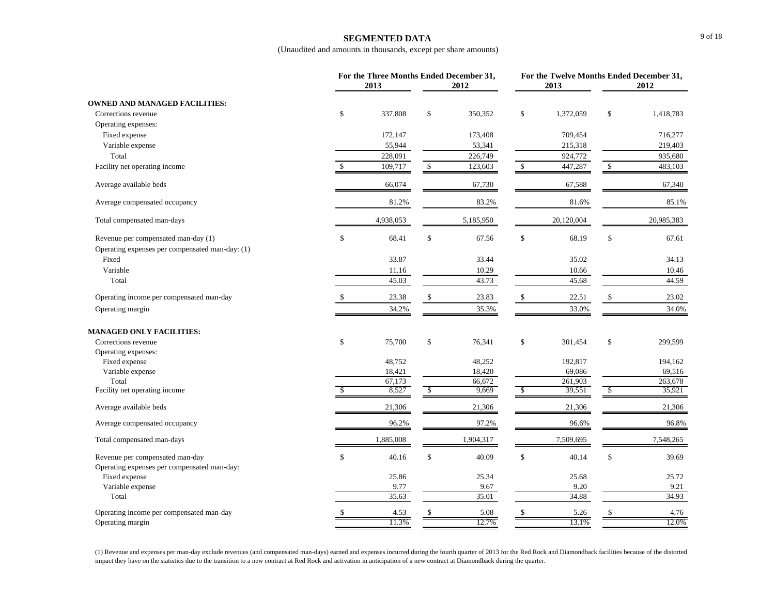### **SEGMENTED DATA**

(Unaudited and amounts in thousands, except per share amounts)

|                                                                                        |              | For the Three Months Ended December 31,<br>2013 |              | 2012      |              | 2013       | For the Twelve Months Ended December 31,<br>2012 |            |  |
|----------------------------------------------------------------------------------------|--------------|-------------------------------------------------|--------------|-----------|--------------|------------|--------------------------------------------------|------------|--|
| <b>OWNED AND MANAGED FACILITIES:</b>                                                   |              |                                                 |              |           |              |            |                                                  |            |  |
| Corrections revenue                                                                    | \$           | 337,808                                         | \$           | 350,352   | \$           | 1,372,059  | \$                                               | 1,418,783  |  |
| Operating expenses:                                                                    |              |                                                 |              |           |              |            |                                                  |            |  |
| Fixed expense                                                                          |              | 172,147                                         |              | 173,408   |              | 709,454    |                                                  | 716,277    |  |
| Variable expense                                                                       |              | 55,944                                          |              | 53,341    |              | 215,318    |                                                  | 219,403    |  |
| Total                                                                                  |              | 228,091                                         |              | 226,749   |              | 924,772    |                                                  | 935,680    |  |
| Facility net operating income                                                          | $\mathbb{S}$ | 109,717                                         | $\mathbb{S}$ | 123,603   | \$           | 447,287    | \$                                               | 483,103    |  |
| Average available beds                                                                 |              | 66,074                                          |              | 67,730    |              | 67,588     |                                                  | 67,340     |  |
| Average compensated occupancy                                                          |              | 81.2%                                           |              | 83.2%     |              | 81.6%      |                                                  | 85.1%      |  |
| Total compensated man-days                                                             |              | 4,938,053                                       |              | 5,185,950 |              | 20,120,004 |                                                  | 20,985,383 |  |
| Revenue per compensated man-day (1)<br>Operating expenses per compensated man-day: (1) | \$           | 68.41                                           | \$           | 67.56     | \$           | 68.19      | \$                                               | 67.61      |  |
| Fixed                                                                                  |              | 33.87                                           |              | 33.44     |              | 35.02      |                                                  | 34.13      |  |
| Variable                                                                               |              | 11.16                                           |              | 10.29     |              | 10.66      |                                                  | 10.46      |  |
| Total                                                                                  |              | 45.03                                           |              | 43.73     |              | 45.68      |                                                  | 44.59      |  |
| Operating income per compensated man-day                                               |              | 23.38                                           | \$           | 23.83     |              | 22.51      |                                                  | 23.02      |  |
| Operating margin                                                                       |              | 34.2%                                           |              | 35.3%     |              | 33.0%      |                                                  | 34.0%      |  |
| <b>MANAGED ONLY FACILITIES:</b>                                                        |              |                                                 |              |           |              |            |                                                  |            |  |
| Corrections revenue                                                                    | \$           | 75,700                                          | \$           | 76,341    | \$           | 301,454    | $\mathbb{S}$                                     | 299,599    |  |
| Operating expenses:                                                                    |              |                                                 |              |           |              |            |                                                  |            |  |
| Fixed expense                                                                          |              | 48,752                                          |              | 48,252    |              | 192,817    |                                                  | 194,162    |  |
| Variable expense                                                                       |              | 18,421                                          |              | 18,420    |              | 69,086     |                                                  | 69,516     |  |
| Total                                                                                  |              | 67,173                                          |              | 66,672    |              | 261,903    |                                                  | 263,678    |  |
| Facility net operating income                                                          |              | 8,527                                           | -S           | 9,669     | S            | 39,551     | -S                                               | 35,921     |  |
| Average available beds                                                                 |              | 21,306                                          |              | 21,306    |              | 21,306     |                                                  | 21,306     |  |
| Average compensated occupancy                                                          |              | 96.2%                                           |              | 97.2%     |              | 96.6%      |                                                  | 96.8%      |  |
| Total compensated man-days                                                             |              | 1,885,008                                       |              | 1,904,317 |              | 7,509,695  |                                                  | 7,548,265  |  |
| Revenue per compensated man-day<br>Operating expenses per compensated man-day:         | $\$$         | 40.16                                           | \$           | 40.09     | $\mathbb{S}$ | 40.14      | \$                                               | 39.69      |  |
| Fixed expense                                                                          |              | 25.86                                           |              | 25.34     |              | 25.68      |                                                  | 25.72      |  |
| Variable expense                                                                       |              | 9.77                                            |              | 9.67      |              | 9.20       |                                                  | 9.21       |  |
| Total                                                                                  |              | 35.63                                           |              | 35.01     |              | 34.88      |                                                  | 34.93      |  |
| Operating income per compensated man-day                                               | \$           | 4.53                                            | \$           | 5.08      | \$           | 5.26       | $\mathbb{S}$                                     | 4.76       |  |
| Operating margin                                                                       |              | 11.3%                                           |              | 12.7%     |              | 13.1%      |                                                  | 12.0%      |  |

(1) Revenue and expenses per man-day exclude revenues (and compensated man-days) earned and expenses incurred during the fourth quarter of 2013 for the Red Rock and Diamondback facilities because of the distorted impact they have on the statistics due to the transition to a new contract at Red Rock and activation in anticipation of a new contract at Diamondback during the quarter.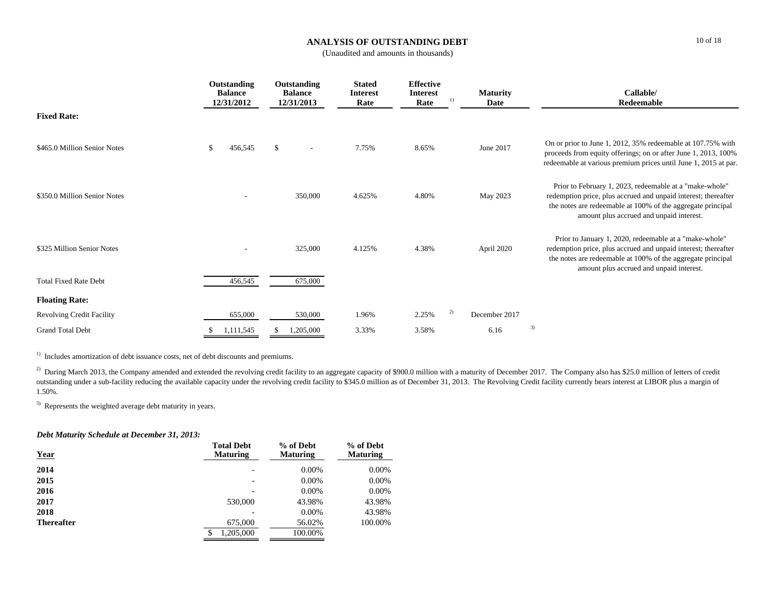## **ANALYSIS OF OUTSTANDING DEBT**

(Unaudited and amounts in thousands)

|                                  | Outstanding<br><b>Balance</b><br>12/31/2012 | Outstanding<br><b>Balance</b><br>12/31/2013 | <b>Stated</b><br>Interest<br>Rate | <b>Effective</b><br><b>Interest</b><br>Rate | <b>Maturity</b><br>1)<br>Date | Callable/<br>Redeemable                                                                                                                                                                                                              |
|----------------------------------|---------------------------------------------|---------------------------------------------|-----------------------------------|---------------------------------------------|-------------------------------|--------------------------------------------------------------------------------------------------------------------------------------------------------------------------------------------------------------------------------------|
| <b>Fixed Rate:</b>               |                                             |                                             |                                   |                                             |                               |                                                                                                                                                                                                                                      |
| \$465.0 Million Senior Notes     | \$<br>456,545                               | $\mathbb{S}$<br>$\overline{\phantom{a}}$    | 7.75%                             | 8.65%                                       | June 2017                     | On or prior to June 1, 2012, 35% redeemable at 107.75% with<br>proceeds from equity offerings; on or after June 1, 2013, 100%<br>redeemable at various premium prices until June 1, 2015 at par.                                     |
| \$350.0 Million Senior Notes     |                                             | 350,000                                     | 4.625%                            | 4.80%                                       | May 2023                      | Prior to February 1, 2023, redeemable at a "make-whole"<br>redemption price, plus accrued and unpaid interest; thereafter<br>the notes are redeemable at 100% of the aggregate principal<br>amount plus accrued and unpaid interest. |
| \$325 Million Senior Notes       |                                             | 325,000                                     | 4.125%                            | 4.38%                                       | April 2020                    | Prior to January 1, 2020, redeemable at a "make-whole"<br>redemption price, plus accrued and unpaid interest; thereafter<br>the notes are redeemable at 100% of the aggregate principal<br>amount plus accrued and unpaid interest.  |
| <b>Total Fixed Rate Debt</b>     | 456,545                                     | 675,000                                     |                                   |                                             |                               |                                                                                                                                                                                                                                      |
| <b>Floating Rate:</b>            |                                             |                                             |                                   |                                             |                               |                                                                                                                                                                                                                                      |
| <b>Revolving Credit Facility</b> | 655,000                                     | 530,000                                     | 1.96%                             | 2.25%                                       | 2)<br>December 2017           |                                                                                                                                                                                                                                      |
| <b>Grand Total Debt</b>          | 1,111,545                                   | 1,205,000                                   | 3.33%                             | 3.58%                                       | 6.16                          | 3)                                                                                                                                                                                                                                   |

<sup>1)</sup> Includes amortization of debt issuance costs, net of debt discounts and premiums.

<sup>2)</sup> During March 2013, the Company amended and extended the revolving credit facility to an aggregate capacity of \$900.0 million with a maturity of December 2017. The Company also has \$25.0 million of letters of credit outstanding under a sub-facility reducing the available capacity under the revolving credit facility to \$345.0 million as of December 31, 2013. The Revolving Credit facility currently bears interest at LIBOR plus a margin 1.50%.

3) Represents the weighted average debt maturity in years.

### *Debt Maturity Schedule at December 31, 2013:*

| <b>Year</b>       | <b>Total Debt</b><br><b>Maturing</b> | % of Debt<br><b>Maturing</b> | % of Debt<br><b>Maturing</b> |
|-------------------|--------------------------------------|------------------------------|------------------------------|
| 2014              |                                      | $0.00\%$                     | $0.00\%$                     |
| 2015              | $\overline{\phantom{0}}$             | $0.00\%$                     | $0.00\%$                     |
| 2016              |                                      | $0.00\%$                     | $0.00\%$                     |
| 2017              | 530,000                              | 43.98%                       | 43.98%                       |
| 2018              |                                      | $0.00\%$                     | 43.98%                       |
| <b>Thereafter</b> | 675,000                              | 56.02%                       | 100.00%                      |
|                   | 1.205.000<br>\$                      | 100.00%                      |                              |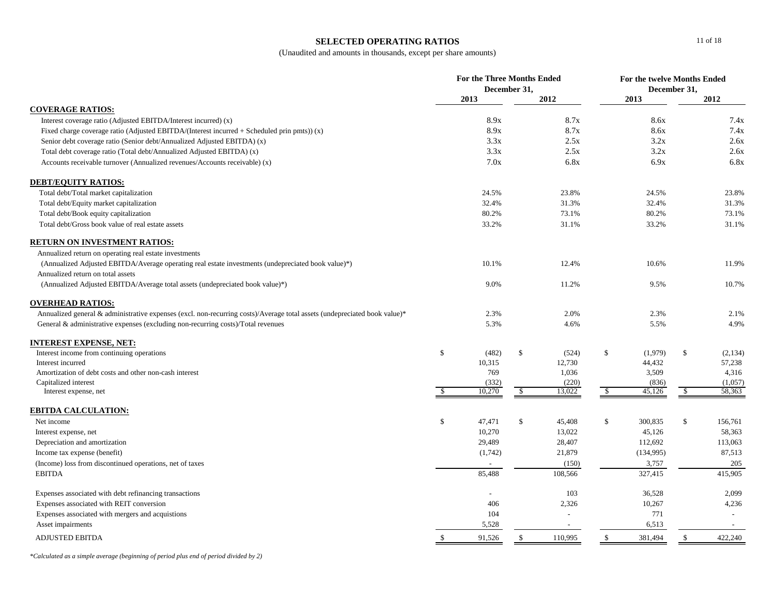### **SELECTED OPERATING RATIOS**

(Unaudited and amounts in thousands, except per share amounts)

|                                                                                                                           | <b>For the Three Months Ended</b><br>December 31, |         |              |         | For the twelve Months Ended<br>December 31, |           |            |         |
|---------------------------------------------------------------------------------------------------------------------------|---------------------------------------------------|---------|--------------|---------|---------------------------------------------|-----------|------------|---------|
|                                                                                                                           |                                                   | 2013    |              | 2012    |                                             | 2013      |            | 2012    |
| <b>COVERAGE RATIOS:</b>                                                                                                   |                                                   |         |              |         |                                             |           |            |         |
| Interest coverage ratio (Adjusted EBITDA/Interest incurred) (x)                                                           |                                                   | 8.9x    |              | 8.7x    |                                             | 8.6x      |            | 7.4x    |
| Fixed charge coverage ratio (Adjusted EBITDA/(Interest incurred + Scheduled prin pmts)) (x)                               |                                                   | 8.9x    |              | 8.7x    |                                             | 8.6x      |            | 7.4x    |
| Senior debt coverage ratio (Senior debt/Annualized Adjusted EBITDA) (x)                                                   |                                                   | 3.3x    |              | 2.5x    |                                             | 3.2x      |            | 2.6x    |
| Total debt coverage ratio (Total debt/Annualized Adjusted EBITDA) (x)                                                     |                                                   | 3.3x    |              | 2.5x    |                                             | 3.2x      |            | 2.6x    |
| Accounts receivable turnover (Annualized revenues/Accounts receivable) (x)                                                |                                                   | 7.0x    |              | 6.8x    |                                             | 6.9x      |            | 6.8x    |
| <b>DEBT/EQUITY RATIOS:</b>                                                                                                |                                                   |         |              |         |                                             |           |            |         |
| Total debt/Total market capitalization                                                                                    |                                                   | 24.5%   |              | 23.8%   |                                             | 24.5%     |            | 23.8%   |
| Total debt/Equity market capitalization                                                                                   |                                                   | 32.4%   |              | 31.3%   |                                             | 32.4%     |            | 31.3%   |
| Total debt/Book equity capitalization                                                                                     |                                                   | 80.2%   |              | 73.1%   |                                             | 80.2%     |            | 73.1%   |
| Total debt/Gross book value of real estate assets                                                                         |                                                   | 33.2%   |              | 31.1%   |                                             | 33.2%     |            | 31.1%   |
| <b>RETURN ON INVESTMENT RATIOS:</b>                                                                                       |                                                   |         |              |         |                                             |           |            |         |
| Annualized return on operating real estate investments                                                                    |                                                   |         |              |         |                                             |           |            |         |
| (Annualized Adjusted EBITDA/Average operating real estate investments (undepreciated book value)*)                        |                                                   | 10.1%   |              | 12.4%   |                                             | 10.6%     |            | 11.9%   |
| Annualized return on total assets                                                                                         |                                                   |         |              |         |                                             |           |            |         |
| (Annualized Adjusted EBITDA/Average total assets (undepreciated book value)*)                                             |                                                   | 9.0%    |              | 11.2%   |                                             | 9.5%      |            | 10.7%   |
| <b>OVERHEAD RATIOS:</b>                                                                                                   |                                                   |         |              |         |                                             |           |            |         |
| Annualized general & administrative expenses (excl. non-recurring costs)/Average total assets (undepreciated book value)* |                                                   | 2.3%    |              | 2.0%    |                                             | 2.3%      |            | 2.1%    |
| General & administrative expenses (excluding non-recurring costs)/Total revenues                                          |                                                   | 5.3%    |              | 4.6%    |                                             | 5.5%      |            | 4.9%    |
| <u>INTEREST EXPENSE, NET:</u>                                                                                             |                                                   |         |              |         |                                             |           |            |         |
| Interest income from continuing operations                                                                                | \$                                                | (482)   | $\mathbb{S}$ | (524)   | \$                                          | (1,979)   | \$         | (2,134) |
| Interest incurred                                                                                                         |                                                   | 10,315  |              | 12,730  |                                             | 44,432    |            | 57,238  |
| Amortization of debt costs and other non-cash interest                                                                    |                                                   | 769     |              | 1,036   |                                             | 3,509     |            | 4,316   |
| Capitalized interest                                                                                                      |                                                   | (332)   |              | (220)   |                                             | (836)     |            | (1,057) |
| Interest expense, net                                                                                                     | $\mathbf{\hat{s}}$                                | 10,270  | $\sqrt{3}$   | 13,022  | $\sqrt{3}$                                  | 45,126    | $\sqrt{3}$ | 58,363  |
| <b>EBITDA CALCULATION:</b>                                                                                                |                                                   |         |              |         |                                             |           |            |         |
| Net income                                                                                                                | \$                                                | 47,471  | $\mathbb{S}$ | 45,408  | \$                                          | 300,835   | \$         | 156,761 |
| Interest expense, net                                                                                                     |                                                   | 10,270  |              | 13,022  |                                             | 45,126    |            | 58,363  |
| Depreciation and amortization                                                                                             |                                                   | 29,489  |              | 28,407  |                                             | 112,692   |            | 113,063 |
| Income tax expense (benefit)                                                                                              |                                                   | (1,742) |              | 21,879  |                                             | (134,995) |            | 87,513  |
| (Income) loss from discontinued operations, net of taxes                                                                  |                                                   |         |              | (150)   |                                             | 3,757     |            | 205     |
| <b>EBITDA</b>                                                                                                             |                                                   | 85,488  |              | 108,566 |                                             | 327,415   |            | 415,905 |
| Expenses associated with debt refinancing transactions                                                                    |                                                   |         |              | 103     |                                             | 36,528    |            | 2,099   |
| Expenses associated with REIT conversion                                                                                  |                                                   | 406     |              | 2,326   |                                             | 10,267    |            | 4,236   |
| Expenses associated with mergers and acquistions                                                                          |                                                   | 104     |              |         |                                             | 771       |            | $\sim$  |
| Asset impairments                                                                                                         |                                                   | 5,528   |              |         |                                             | 6,513     |            | $\sim$  |
| <b>ADJUSTED EBITDA</b>                                                                                                    | $\mathbb{S}$                                      | 91,526  | $\mathbb{S}$ | 110,995 | $\mathbb{S}$                                | 381,494   | \$         | 422,240 |

*\*Calculated as a simple average (beginning of period plus end of period divided by 2)*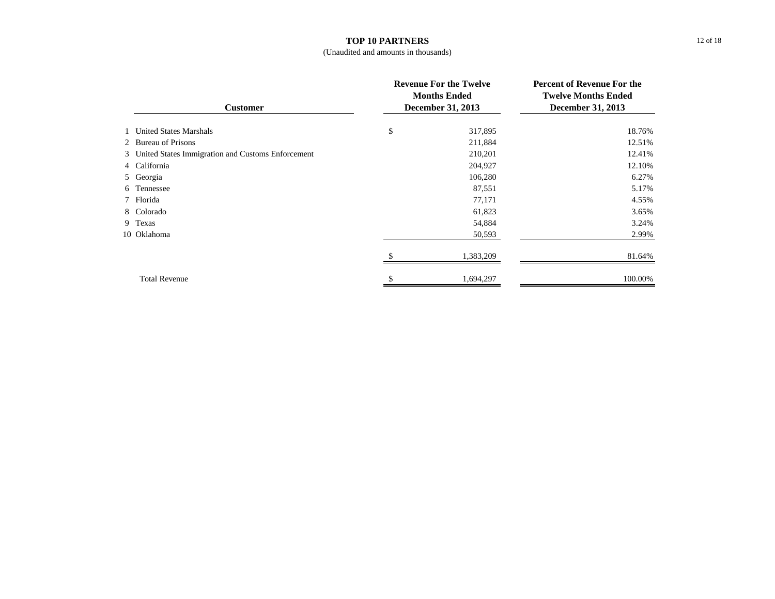#### **TOP 10 PARTNERS**

### (Unaudited and amounts in thousands)

| <b>Customer</b>                                     |    | <b>Revenue For the Twelve</b><br><b>Months Ended</b><br><b>December 31, 2013</b> | <b>Percent of Revenue For the</b><br><b>Twelve Months Ended</b><br>December 31, 2013 |  |
|-----------------------------------------------------|----|----------------------------------------------------------------------------------|--------------------------------------------------------------------------------------|--|
| 1 United States Marshals                            | \$ | 317,895                                                                          | 18.76%                                                                               |  |
| 2 Bureau of Prisons                                 |    | 211,884                                                                          | 12.51%                                                                               |  |
| 3 United States Immigration and Customs Enforcement |    | 210,201                                                                          | 12.41%                                                                               |  |
| 4 California                                        |    | 204,927                                                                          | 12.10%                                                                               |  |
| 5 Georgia                                           |    | 106,280                                                                          | 6.27%                                                                                |  |
| 6 Tennessee                                         |    | 87,551                                                                           | 5.17%                                                                                |  |
| 7 Florida                                           |    | 77,171                                                                           | 4.55%                                                                                |  |
| 8 Colorado                                          |    | 61,823                                                                           | 3.65%                                                                                |  |
| 9 Texas                                             |    | 54,884                                                                           | 3.24%                                                                                |  |
| 10 Oklahoma                                         |    | 50,593                                                                           | 2.99%                                                                                |  |
|                                                     |    | 1,383,209                                                                        | 81.64%                                                                               |  |
| <b>Total Revenue</b>                                |    | 1,694,297                                                                        | 100.00%                                                                              |  |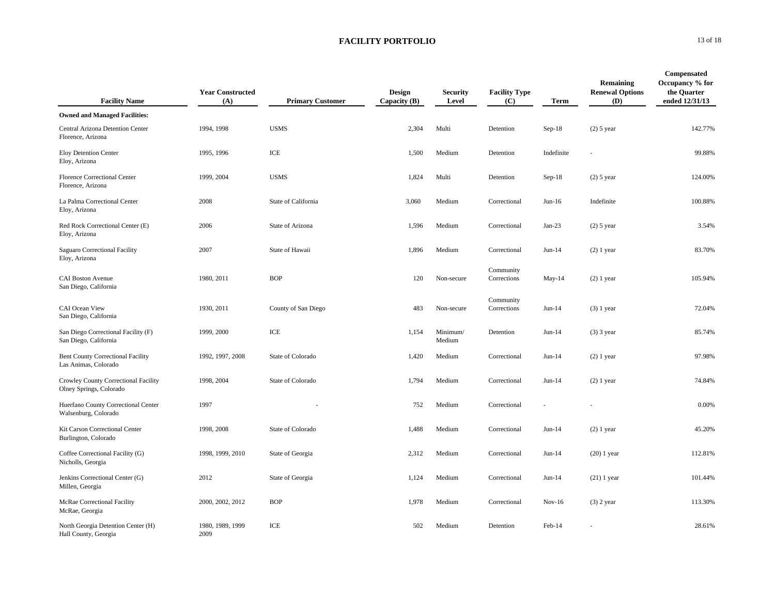| <b>Facility Name</b>                                             | <b>Year Constructed</b><br>(A) | <b>Primary Customer</b> | <b>Design</b><br>Capacity (B) | <b>Security</b><br>Level | <b>Facility Type</b><br>(C) | Term       | Remaining<br><b>Renewal Options</b><br>(D) | Compensated<br>Occupancy % for<br>the Quarter<br>ended 12/31/13 |
|------------------------------------------------------------------|--------------------------------|-------------------------|-------------------------------|--------------------------|-----------------------------|------------|--------------------------------------------|-----------------------------------------------------------------|
| <b>Owned and Managed Facilities:</b>                             |                                |                         |                               |                          |                             |            |                                            |                                                                 |
| Central Arizona Detention Center<br>Florence, Arizona            | 1994, 1998                     | <b>USMS</b>             | 2,304                         | Multi                    | Detention                   | $Sep-18$   | $(2)$ 5 year                               | 142.77%                                                         |
| Eloy Detention Center<br>Eloy, Arizona                           | 1995, 1996                     | ICE                     | 1,500                         | Medium                   | Detention                   | Indefinite | ÷.                                         | 99.88%                                                          |
| Florence Correctional Center<br>Florence, Arizona                | 1999, 2004                     | <b>USMS</b>             | 1,824                         | Multi                    | Detention                   | $Sep-18$   | $(2)$ 5 year                               | 124.00%                                                         |
| La Palma Correctional Center<br>Eloy, Arizona                    | 2008                           | State of California     | 3,060                         | Medium                   | Correctional                | $Jun-16$   | Indefinite                                 | 100.88%                                                         |
| Red Rock Correctional Center (E)<br>Eloy, Arizona                | 2006                           | State of Arizona        | 1,596                         | Medium                   | Correctional                | $Jan-23$   | $(2)$ 5 year                               | 3.54%                                                           |
| Saguaro Correctional Facility<br>Eloy, Arizona                   | 2007                           | State of Hawaii         | 1,896                         | Medium                   | Correctional                | $Jun-14$   | $(2)$ 1 year                               | 83.70%                                                          |
| <b>CAI Boston Avenue</b><br>San Diego, California                | 1980, 2011                     | <b>BOP</b>              | 120                           | Non-secure               | Community<br>Corrections    | May-14     | $(2)$ 1 year                               | 105.94%                                                         |
| CAI Ocean View<br>San Diego, California                          | 1930, 2011                     | County of San Diego     | 483                           | Non-secure               | Community<br>Corrections    | $Jun-14$   | $(3)$ 1 year                               | 72.04%                                                          |
| San Diego Correctional Facility (F)<br>San Diego, California     | 1999, 2000                     | ICE                     | 1,154                         | Minimum/<br>Medium       | Detention                   | $Jun-14$   | $(3)$ 3 year                               | 85.74%                                                          |
| <b>Bent County Correctional Facility</b><br>Las Animas, Colorado | 1992, 1997, 2008               | State of Colorado       | 1,420                         | Medium                   | Correctional                | $Jun-14$   | $(2)$ 1 year                               | 97.98%                                                          |
| Crowley County Correctional Facility<br>Olney Springs, Colorado  | 1998, 2004                     | State of Colorado       | 1,794                         | Medium                   | Correctional                | $Jun-14$   | $(2)$ 1 year                               | 74.84%                                                          |
| Huerfano County Correctional Center<br>Walsenburg, Colorado      | 1997                           |                         | 752                           | Medium                   | Correctional                |            |                                            | 0.00%                                                           |
| Kit Carson Correctional Center<br>Burlington, Colorado           | 1998, 2008                     | State of Colorado       | 1,488                         | Medium                   | Correctional                | $Jun-14$   | $(2)$ 1 year                               | 45.20%                                                          |
| Coffee Correctional Facility (G)<br>Nicholls, Georgia            | 1998, 1999, 2010               | State of Georgia        | 2,312                         | Medium                   | Correctional                | $Jun-14$   | $(20)$ 1 year                              | 112.81%                                                         |
| Jenkins Correctional Center (G)<br>Millen, Georgia               | 2012                           | State of Georgia        | 1,124                         | Medium                   | Correctional                | $Jun-14$   | $(21)$ 1 year                              | 101.44%                                                         |
| McRae Correctional Facility<br>McRae, Georgia                    | 2000, 2002, 2012               | <b>BOP</b>              | 1,978                         | Medium                   | Correctional                | $Nov-16$   | $(3)$ 2 year                               | 113.30%                                                         |
| North Georgia Detention Center (H)<br>Hall County, Georgia       | 1980, 1989, 1999<br>2009       | ICE                     | 502                           | Medium                   | Detention                   | Feb-14     |                                            | 28.61%                                                          |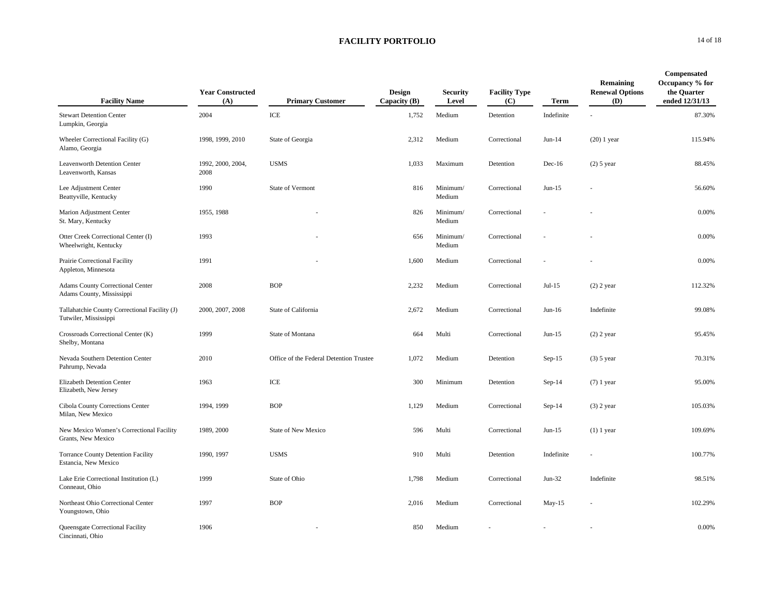| <b>Facility Name</b>                                                   | <b>Year Constructed</b><br>(A) | <b>Primary Customer</b>                 | <b>Design</b><br>Capacity (B) | <b>Security</b><br>Level | <b>Facility Type</b><br>(C) | Term       | Remaining<br><b>Renewal Options</b><br>(D) | Compensated<br>Occupancy % for<br>the Quarter<br>ended 12/31/13 |
|------------------------------------------------------------------------|--------------------------------|-----------------------------------------|-------------------------------|--------------------------|-----------------------------|------------|--------------------------------------------|-----------------------------------------------------------------|
| <b>Stewart Detention Center</b><br>Lumpkin, Georgia                    | 2004                           | ICE                                     | 1,752                         | Medium                   | Detention                   | Indefinite |                                            | 87.30%                                                          |
| Wheeler Correctional Facility (G)<br>Alamo, Georgia                    | 1998, 1999, 2010               | State of Georgia                        | 2,312                         | Medium                   | Correctional                | $Jun-14$   | $(20)$ 1 year                              | 115.94%                                                         |
| Leavenworth Detention Center<br>Leavenworth, Kansas                    | 1992, 2000, 2004,<br>2008      | <b>USMS</b>                             | 1,033                         | Maximum                  | Detention                   | $Dec-16$   | $(2)$ 5 year                               | 88.45%                                                          |
| Lee Adjustment Center<br>Beattyville, Kentucky                         | 1990                           | State of Vermont                        | 816                           | Minimum/<br>Medium       | Correctional                | $Jun-15$   |                                            | 56.60%                                                          |
| Marion Adjustment Center<br>St. Mary, Kentucky                         | 1955, 1988                     |                                         | 826                           | Minimum/<br>Medium       | Correctional                |            |                                            | 0.00%                                                           |
| Otter Creek Correctional Center (I)<br>Wheelwright, Kentucky           | 1993                           |                                         | 656                           | Minimum/<br>Medium       | Correctional                |            |                                            | 0.00%                                                           |
| Prairie Correctional Facility<br>Appleton, Minnesota                   | 1991                           |                                         | 1,600                         | Medium                   | Correctional                |            |                                            | 0.00%                                                           |
| <b>Adams County Correctional Center</b><br>Adams County, Mississippi   | 2008                           | <b>BOP</b>                              | 2,232                         | Medium                   | Correctional                | $Jul-15$   | $(2)$ 2 year                               | 112.32%                                                         |
| Tallahatchie County Correctional Facility (J)<br>Tutwiler, Mississippi | 2000, 2007, 2008               | State of California                     | 2,672                         | Medium                   | Correctional                | $Jun-16$   | Indefinite                                 | 99.08%                                                          |
| Crossroads Correctional Center (K)<br>Shelby, Montana                  | 1999                           | State of Montana                        | 664                           | Multi                    | Correctional                | $Jun-15$   | $(2)$ 2 year                               | 95.45%                                                          |
| Nevada Southern Detention Center<br>Pahrump, Nevada                    | 2010                           | Office of the Federal Detention Trustee | 1,072                         | Medium                   | Detention                   | $Sep-15$   | $(3)$ 5 year                               | 70.31%                                                          |
| Elizabeth Detention Center<br>Elizabeth, New Jersey                    | 1963                           | $\ensuremath{\text{ICE}}$               | 300                           | Minimum                  | Detention                   | $Sep-14$   | $(7)$ 1 year                               | 95.00%                                                          |
| Cibola County Corrections Center<br>Milan, New Mexico                  | 1994, 1999                     | <b>BOP</b>                              | 1,129                         | Medium                   | Correctional                | $Sep-14$   | $(3)$ 2 year                               | 105.03%                                                         |
| New Mexico Women's Correctional Facility<br>Grants, New Mexico         | 1989, 2000                     | State of New Mexico                     | 596                           | Multi                    | Correctional                | $Jun-15$   | $(1)$ 1 year                               | 109.69%                                                         |
| <b>Torrance County Detention Facility</b><br>Estancia, New Mexico      | 1990, 1997                     | <b>USMS</b>                             | 910                           | Multi                    | Detention                   | Indefinite |                                            | 100.77%                                                         |
| Lake Erie Correctional Institution (L)<br>Conneaut. Ohio               | 1999                           | State of Ohio                           | 1,798                         | Medium                   | Correctional                | $Jun-32$   | Indefinite                                 | 98.51%                                                          |
| Northeast Ohio Correctional Center<br>Youngstown, Ohio                 | 1997                           | <b>BOP</b>                              | 2,016                         | Medium                   | Correctional                | May-15     |                                            | 102.29%                                                         |
| Queensgate Correctional Facility<br>Cincinnati, Ohio                   | 1906                           |                                         | 850                           | Medium                   |                             |            |                                            | 0.00%                                                           |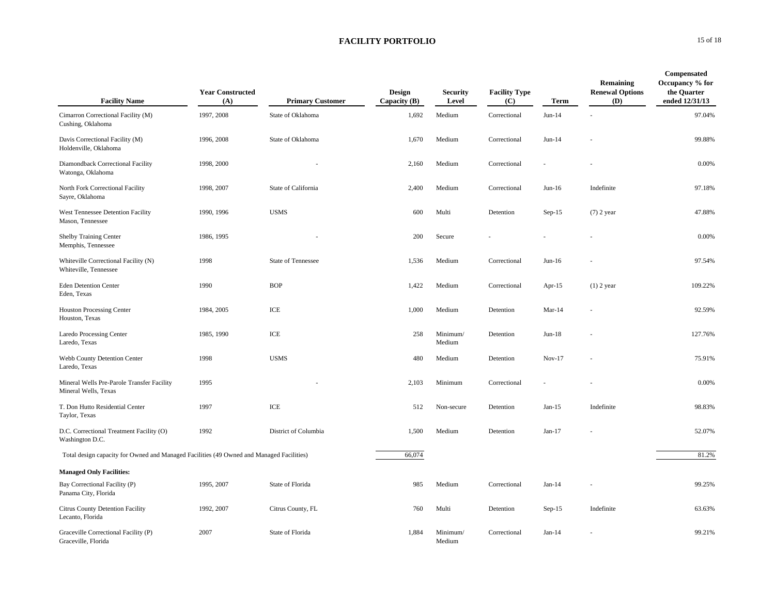| <b>Facility Name</b>                                                                     | <b>Year Constructed</b><br>(A) | <b>Primary Customer</b>   | Design<br>Capacity $(B)$ | <b>Security</b><br>Level | <b>Facility Type</b><br>(C) | Term      | Remaining<br><b>Renewal Options</b><br>(D) | Compensated<br>Occupancy % for<br>the Quarter<br>ended 12/31/13 |
|------------------------------------------------------------------------------------------|--------------------------------|---------------------------|--------------------------|--------------------------|-----------------------------|-----------|--------------------------------------------|-----------------------------------------------------------------|
| Cimarron Correctional Facility (M)<br>Cushing, Oklahoma                                  | 1997, 2008                     | State of Oklahoma         | 1,692                    | Medium                   | Correctional                | $Jun-14$  |                                            | 97.04%                                                          |
| Davis Correctional Facility (M)<br>Holdenville, Oklahoma                                 | 1996, 2008                     | State of Oklahoma         | 1,670                    | Medium                   | Correctional                | $Jun-14$  |                                            | 99.88%                                                          |
| Diamondback Correctional Facility<br>Watonga, Oklahoma                                   | 1998, 2000                     |                           | 2,160                    | Medium                   | Correctional                |           |                                            | 0.00%                                                           |
| North Fork Correctional Facility<br>Sayre, Oklahoma                                      | 1998, 2007                     | State of California       | 2,400                    | Medium                   | Correctional                | $Jun-16$  | Indefinite                                 | 97.18%                                                          |
| West Tennessee Detention Facility<br>Mason, Tennessee                                    | 1990, 1996                     | <b>USMS</b>               | 600                      | Multi                    | Detention                   | $Sep-15$  | $(7)$ 2 year                               | 47.88%                                                          |
| Shelby Training Center<br>Memphis, Tennessee                                             | 1986, 1995                     |                           | 200                      | Secure                   |                             |           |                                            | 0.00%                                                           |
| Whiteville Correctional Facility (N)<br>Whiteville, Tennessee                            | 1998                           | <b>State of Tennessee</b> | 1,536                    | Medium                   | Correctional                | $Jun-16$  |                                            | 97.54%                                                          |
| <b>Eden Detention Center</b><br>Eden, Texas                                              | 1990                           | <b>BOP</b>                | 1,422                    | Medium                   | Correctional                | Apr- $15$ | $(1)$ 2 year                               | 109.22%                                                         |
| <b>Houston Processing Center</b><br>Houston, Texas                                       | 1984, 2005                     | ICE                       | 1,000                    | Medium                   | Detention                   | $Mar-14$  |                                            | 92.59%                                                          |
| <b>Laredo Processing Center</b><br>Laredo, Texas                                         | 1985, 1990                     | ICE                       | 258                      | Minimum/<br>Medium       | Detention                   | $Jun-18$  |                                            | 127.76%                                                         |
| Webb County Detention Center<br>Laredo, Texas                                            | 1998                           | <b>USMS</b>               | 480                      | Medium                   | Detention                   | $Nov-17$  |                                            | 75.91%                                                          |
| Mineral Wells Pre-Parole Transfer Facility<br>Mineral Wells, Texas                       | 1995                           |                           | 2,103                    | Minimum                  | Correctional                |           |                                            | 0.00%                                                           |
| T. Don Hutto Residential Center<br>Taylor, Texas                                         | 1997                           | ICE                       | 512                      | Non-secure               | Detention                   | $Jan-15$  | Indefinite                                 | 98.83%                                                          |
| D.C. Correctional Treatment Facility (O)<br>Washington D.C.                              | 1992                           | District of Columbia      | 1,500                    | Medium                   | Detention                   | $Jan-17$  |                                            | 52.07%                                                          |
| Total design capacity for Owned and Managed Facilities (49 Owned and Managed Facilities) |                                |                           | 66,074                   |                          |                             |           |                                            | 81.2%                                                           |
| <b>Managed Only Facilities:</b>                                                          |                                |                           |                          |                          |                             |           |                                            |                                                                 |
| Bay Correctional Facility (P)<br>Panama City, Florida                                    | 1995, 2007                     | State of Florida          | 985                      | Medium                   | Correctional                | $Jan-14$  |                                            | 99.25%                                                          |
| <b>Citrus County Detention Facility</b><br>Lecanto, Florida                              | 1992, 2007                     | Citrus County, FL         | 760                      | Multi                    | Detention                   | $Sep-15$  | Indefinite                                 | 63.63%                                                          |
| Graceville Correctional Facility (P)<br>Graceville, Florida                              | 2007                           | State of Florida          | 1,884                    | Minimum/<br>Medium       | Correctional                | $Jan-14$  |                                            | 99.21%                                                          |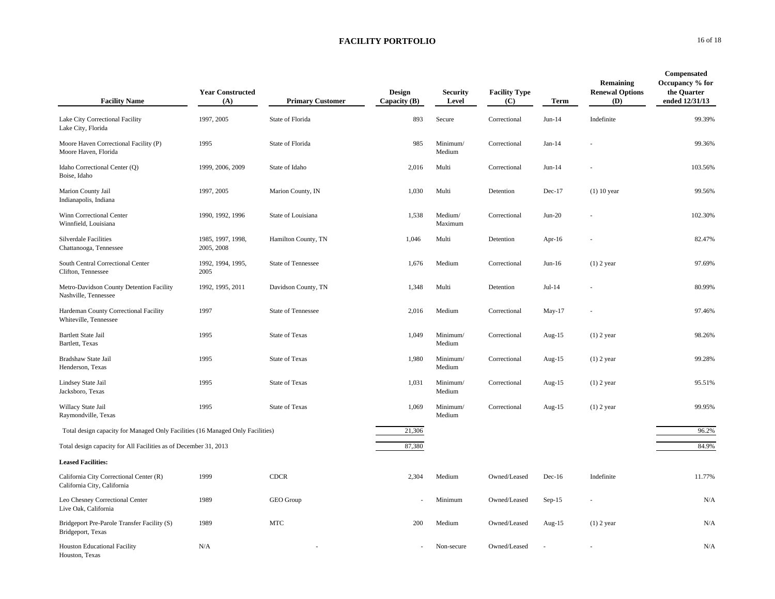| <b>Facility Name</b>                                                           | <b>Year Constructed</b><br>(A)  | <b>Primary Customer</b> | Design<br>Capacity (B) | <b>Security</b><br>Level | <b>Facility Type</b><br>(C) | <b>Term</b> | Remaining<br><b>Renewal Options</b><br>(D) | Compensated<br>Occupancy % for<br>the Quarter<br>ended 12/31/13 |
|--------------------------------------------------------------------------------|---------------------------------|-------------------------|------------------------|--------------------------|-----------------------------|-------------|--------------------------------------------|-----------------------------------------------------------------|
| Lake City Correctional Facility<br>Lake City, Florida                          | 1997, 2005                      | State of Florida        | 893                    | Secure                   | Correctional                | $Jun-14$    | Indefinite                                 | 99.39%                                                          |
| Moore Haven Correctional Facility (P)<br>Moore Haven, Florida                  | 1995                            | State of Florida        | 985                    | Minimum/<br>Medium       | Correctional                | $Jan-14$    |                                            | 99.36%                                                          |
| Idaho Correctional Center (Q)<br>Boise, Idaho                                  | 1999, 2006, 2009                | State of Idaho          | 2,016                  | Multi                    | Correctional                | $Jun-14$    |                                            | 103.56%                                                         |
| Marion County Jail<br>Indianapolis, Indiana                                    | 1997, 2005                      | Marion County, IN       | 1,030                  | Multi                    | Detention                   | $Dec-17$    | $(1)$ 10 year                              | 99.56%                                                          |
| Winn Correctional Center<br>Winnfield, Louisiana                               | 1990, 1992, 1996                | State of Louisiana      | 1,538                  | Medium/<br>Maximum       | Correctional                | $Jun-20$    |                                            | 102.30%                                                         |
| <b>Silverdale Facilities</b><br>Chattanooga, Tennessee                         | 1985, 1997, 1998,<br>2005, 2008 | Hamilton County, TN     | 1,046                  | Multi                    | Detention                   | Apr- $16$   |                                            | 82.47%                                                          |
| South Central Correctional Center<br>Clifton, Tennessee                        | 1992, 1994, 1995,<br>2005       | State of Tennessee      | 1,676                  | Medium                   | Correctional                | $Jun-16$    | $(1)$ 2 year                               | 97.69%                                                          |
| Metro-Davidson County Detention Facility<br>Nashville, Tennessee               | 1992, 1995, 2011                | Davidson County, TN     | 1,348                  | Multi                    | Detention                   | $Jul-14$    |                                            | 80.99%                                                          |
| Hardeman County Correctional Facility<br>Whiteville, Tennessee                 | 1997                            | State of Tennessee      | 2,016                  | Medium                   | Correctional                | May-17      |                                            | 97.46%                                                          |
| <b>Bartlett State Jail</b><br>Bartlett, Texas                                  | 1995                            | <b>State of Texas</b>   | 1,049                  | Minimum/<br>Medium       | Correctional                | Aug- $15$   | $(1)$ 2 year                               | 98.26%                                                          |
| Bradshaw State Jail<br>Henderson, Texas                                        | 1995                            | <b>State of Texas</b>   | 1,980                  | Minimum/<br>Medium       | Correctional                | Aug-15      | $(1)$ 2 year                               | 99.28%                                                          |
| Lindsey State Jail<br>Jacksboro, Texas                                         | 1995                            | <b>State of Texas</b>   | 1,031                  | Minimum/<br>Medium       | Correctional                | Aug-15      | $(1)$ 2 year                               | 95.51%                                                          |
| Willacy State Jail<br>Raymondville, Texas                                      | 1995                            | <b>State of Texas</b>   | 1,069                  | Minimum/<br>Medium       | Correctional                | Aug-15      | $(1)$ 2 year                               | 99.95%                                                          |
| Total design capacity for Managed Only Facilities (16 Managed Only Facilities) |                                 |                         | 21,306                 |                          |                             |             |                                            | 96.2%                                                           |
| Total design capacity for All Facilities as of December 31, 2013               |                                 |                         | 87,380                 |                          |                             |             |                                            | 84.9%                                                           |
| <b>Leased Facilities:</b>                                                      |                                 |                         |                        |                          |                             |             |                                            |                                                                 |
| California City Correctional Center (R)<br>California City, California         | 1999                            | <b>CDCR</b>             | 2,304                  | Medium                   | Owned/Leased                | $Dec-16$    | Indefinite                                 | 11.77%                                                          |
| Leo Chesney Correctional Center<br>Live Oak, California                        | 1989                            | GEO Group               |                        | Minimum                  | Owned/Leased                | $Sep-15$    |                                            | N/A                                                             |
| Bridgeport Pre-Parole Transfer Facility (S)<br>Bridgeport, Texas               | 1989                            | $\operatorname{MTC}$    | 200                    | Medium                   | Owned/Leased                | Aug- $15$   | $(1)$ 2 year                               | N/A                                                             |
| <b>Houston Educational Facility</b><br>Houston, Texas                          | N/A                             |                         |                        | Non-secure               | Owned/Leased                |             |                                            | N/A                                                             |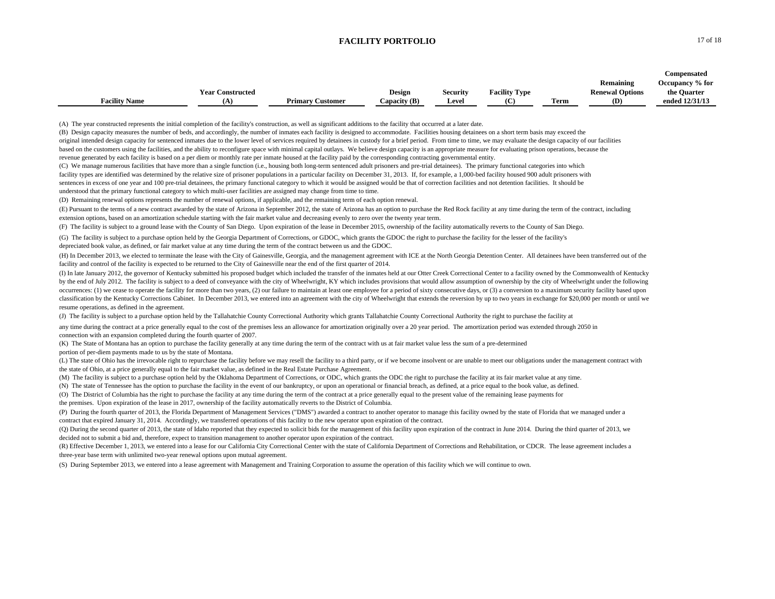|                      |                         |                         |                |                 |                      |      |                        | Compensated     |
|----------------------|-------------------------|-------------------------|----------------|-----------------|----------------------|------|------------------------|-----------------|
|                      |                         |                         |                |                 |                      |      | Remaining              | Occupancy % for |
|                      | <b>Year Constructed</b> |                         | Design         | <b>Security</b> | <b>Facility Type</b> |      | <b>Renewal Options</b> | the Quarter     |
| <b>Facility Name</b> |                         | <b>Primary Customer</b> | Capacity $(B)$ | <b>Level</b>    | (C)                  | Term | (D)                    | ended 12/31/13  |

(A) The year constructed represents the initial completion of the facility's construction, as well as significant additions to the facility that occurred at a later date.

(B) Design capacity measures the number of beds, and accordingly, the number of inmates each facility is designed to accommodate. Facilities housing detainees on a short term basis may exceed the original intended design capacity for sentenced inmates due to the lower level of services required by detainees in custody for a brief period. From time to time, we may evaluate the design capacity of our facilities based on the customers using the facilities, and the ability to reconfigure space with minimal capital outlays. We believe design capacity is an appropriate measure for evaluating prison operations, because the

revenue generated by each facility is based on a per diem or monthly rate per inmate housed at the facility paid by the corresponding contracting governmental entity.

(C) We manage numerous facilities that have more than a single function (i.e., housing both long-term sentenced adult prisoners and pre-trial detainees). The primary functional categories into which facility types are identified was determined by the relative size of prisoner populations in a particular facility on December 31, 2013. If, for example, a 1,000-bed facility housed 900 adult prisoners with sentences in excess of one year and 100 pre-trial detainees, the primary functional category to which it would be assigned would be that of correction facilities and not detention facilities. It should be understood that the primary functional category to which multi-user facilities are assigned may change from time to time.

(D) Remaining renewal options represents the number of renewal options, if applicable, and the remaining term of each option renewal.

(E) Pursuant to the terms of a new contract awarded by the state of Arizona in September 2012, the state of Arizona has an option to purchase the Red Rock facility at any time during the term of the contract, including extension options, based on an amortization schedule starting with the fair market value and decreasing evenly to zero over the twenty year term.

(F) The facility is subject to a ground lease with the County of San Diego. Upon expiration of the lease in December 2015, ownership of the facility automatically reverts to the County of San Diego.

(G) The facility is subject to a purchase option held by the Georgia Department of Corrections, or GDOC, which grants the GDOC the right to purchase the facility for the lesser of the facility's depreciated book value, as defined, or fair market value at any time during the term of the contract between us and the GDOC.

(H) In December 2013, we elected to terminate the lease with the City of Gainesville, Georgia, and the management agreement with ICE at the North Georgia Detention Center. All detainees have been transferred out of the facility and control of the facility is expected to be returned to the City of Gainesville near the end of the first quarter of 2014.

(I) In late January 2012, the governor of Kentucky submitted his proposed budget which included the transfer of the inmates held at our Otter Creek Correctional Center to a facility owned by the Commonwealth of Kentucky by the end of July 2012. The facility is subject to a deed of conveyance with the city of Wheelwright, KY which includes provisions that would allow assumption of ownership by the city of Wheelwright under the following occurrences: (1) we cease to operate the facility for more than two years, (2) our failure to maintain at least one employee for a period of sixty consecutive days, or (3) a conversion to a maximum security facility based classification by the Kentucky Corrections Cabinet. In December 2013, we entered into an agreement with the city of Wheelwright that extends the reversion by up to two years in exchange for \$20,000 per month or until we resume operations, as defined in the agreement.

(J) The facility is subject to a purchase option held by the Tallahatchie County Correctional Authority which grants Tallahatchie County Correctional Authority the right to purchase the facility at

any time during the contract at a price generally equal to the cost of the premises less an allowance for amortization originally over a 20 year period. The amortization period was extended through 2050 in connection with an expansion completed during the fourth quarter of 2007.

(K) The State of Montana has an option to purchase the facility generally at any time during the term of the contract with us at fair market value less the sum of a pre-determined portion of per-diem payments made to us by the state of Montana.

(L) The state of Ohio has the irrevocable right to repurchase the facility before we may resell the facility to a third party, or if we become insolvent or are unable to meet our obligations under the management contract w the state of Ohio, at a price generally equal to the fair market value, as defined in the Real Estate Purchase Agreement.

(M) The facility is subject to a purchase option held by the Oklahoma Department of Corrections, or ODC, which grants the ODC the right to purchase the facility at its fair market value at any time.

(N) The state of Tennessee has the option to purchase the facility in the event of our bankruptcy, or upon an operational or financial breach, as defined, at a price equal to the book value, as defined.

(O) The District of Columbia has the right to purchase the facility at any time during the term of the contract at a price generally equal to the present value of the remaining lease payments for

the premises. Upon expiration of the lease in 2017, ownership of the facility automatically reverts to the District of Columbia.

(P) During the fourth quarter of 2013, the Florida Department of Management Services ("DMS") awarded a contract to another operator to manage this facility owned by the state of Florida that we managed under a contract that expired January 31, 2014. Accordingly, we transferred operations of this facility to the new operator upon expiration of the contract.

(Q) During the second quarter of 2013, the state of Idaho reported that they expected to solicit bids for the management of this facility upon expiration of the contract in June 2014. During the third quarter of 2013, we decided not to submit a bid and, therefore, expect to transition management to another operator upon expiration of the contract.

(R) Effective December 1, 2013, we entered into a lease for our California City Correctional Center with the state of California Department of Corrections and Rehabilitation, or CDCR. The lease agreement includes a three-year base term with unlimited two-year renewal options upon mutual agreement.

(S) During September 2013, we entered into a lease agreement with Management and Training Corporation to assume the operation of this facility which we will continue to own.